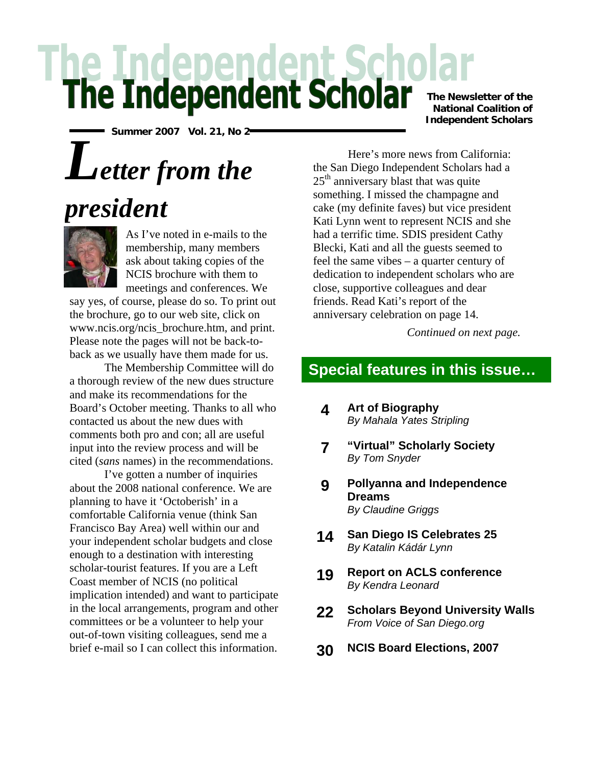# he Independent Scholar

**Summer 2007 Vol. 21, No 2** 

## *Letter from the*





As I've noted in e-mails to the membership, many members ask about taking copies of the NCIS brochure with them to meetings and conferences. We

say yes, of course, please do so. To print out the brochure, go to our web site, click on www.ncis.org/ncis\_brochure.htm, and print. Please note the pages will not be back-toback as we usually have them made for us.

The Membership Committee will do a thorough review of the new dues structure and make its recommendations for the Board's October meeting. Thanks to all who contacted us about the new dues with comments both pro and con; all are useful input into the review process and will be cited (*sans* names) in the recommendations.

I've gotten a number of inquiries about the 2008 national conference. We are planning to have it 'Octoberish' in a comfortable California venue (think San Francisco Bay Area) well within our and your independent scholar budgets and close enough to a destination with interesting scholar-tourist features. If you are a Left Coast member of NCIS (no political implication intended) and want to participate in the local arrangements, program and other committees or be a volunteer to help your out-of-town visiting colleagues, send me a brief e-mail so I can collect this information.

**The Newsletter of the National Coalition of Independent Scholars**

Here's more news from California: the San Diego Independent Scholars had a  $25<sup>th</sup>$  anniversary blast that was quite something. I missed the champagne and cake (my definite faves) but vice president Kati Lynn went to represent NCIS and she had a terrific time. SDIS president Cathy Blecki, Kati and all the guests seemed to feel the same vibes – a quarter century of dedication to independent scholars who are close, supportive colleagues and dear friends. Read Kati's report of the anniversary celebration on page 14.

*Continued on next page.* 

## **Special features in this issue…**

- **4 Art of Biography** *By Mahala Yates Stripling*
- **7 "Virtual" Scholarly Society** *By Tom Snyder*
- **9 Pollyanna and Independence Dreams**  *By Claudine Griggs*
- **14 San Diego IS Celebrates 25**  *By Katalin Kádár Lynn*
- **19 Report on ACLS conference**  *By Kendra Leonard*
- **22 Scholars Beyond University Walls**  *From Voice of San Diego.org*
- **30 NCIS Board Elections, 2007**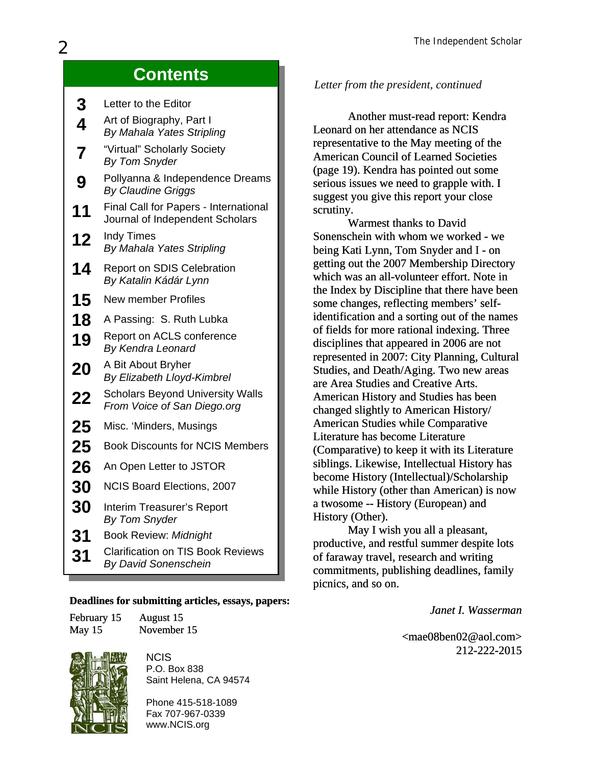## **Contents**

| 3                       | Letter to the Editor                                                     |
|-------------------------|--------------------------------------------------------------------------|
| 4                       | Art of Biography, Part I<br>By Mahala Yates Stripling                    |
| $\overline{\mathbf{7}}$ | "Virtual" Scholarly Society<br><b>By Tom Snyder</b>                      |
| 9                       | Pollyanna & Independence Dreams<br><b>By Claudine Griggs</b>             |
| 11                      | Final Call for Papers - International<br>Journal of Independent Scholars |
| 12                      | Indy Times<br>By Mahala Yates Stripling                                  |
| 14                      | <b>Report on SDIS Celebration</b><br>By Katalin Kádár Lynn               |
| 15                      | <b>New member Profiles</b>                                               |
| 18                      | A Passing: S. Ruth Lubka                                                 |
| 19                      | Report on ACLS conference<br>By Kendra Leonard                           |
| 20                      | A Bit About Bryher<br>By Elizabeth Lloyd-Kimbrel                         |
| 22                      | <b>Scholars Beyond University Walls</b><br>From Voice of San Diego.org   |
| 25                      | Misc. 'Minders, Musings                                                  |
| 25                      | <b>Book Discounts for NCIS Members</b>                                   |
| 26                      | An Open Letter to JSTOR                                                  |
| <b>30</b>               | NCIS Board Elections, 2007                                               |
| 30                      | Interim Treasurer's Report<br><b>By Tom Snyder</b>                       |
| 31                      | <b>Book Review: Midnight</b>                                             |
| 31                      | <b>Clarification on TIS Book Reviews</b><br><b>By David Sonenschein</b>  |

#### **Deadlines for submitting articles, essays, papers:**

| February 15 | August 15   |
|-------------|-------------|
| May 15      | November 15 |



NCIS P.O. Box 838 Saint Helena, CA 94574

Phone 415-518-1089 Fax 707-967-0339 www.NCIS.org

#### *Letter from the president, continued*

Another must-read report: Kendra Leonard on her attendance as NCIS representative to the May meeting of the American Council of Learned Societies (page 19). Kendra has pointed out some serious issues we need to grapple with. I suggest you give this report your close scrutiny.

Warmest thanks to David Sonenschein with whom we worked - we being Kati Lynn, Tom Snyder and I - on getting out the 2007 Membership Directory which was an all-volunteer effort. Note in the Index by Discipline that there have been some changes, reflecting members' selfidentification and a sorting out of the names of fields for more rational indexing. Three disciplines that appeared in 2006 are not represented in 2007: City Planning, Cultural Studies, and Death/Aging. Two new areas are Area Studies and Creative Arts. American History and Studies has been changed slightly to American History/ American Studies while Comparative Literature has become Literature (Comparative) to keep it with its Literature siblings. Likewise, Intellectual History has become History (Intellectual)/Scholarship while History (other than American) is now a twosome -- History (European) and History (Other).

May I wish you all a pleasant, productive, and restful summer despite lots of faraway travel, research and writing commitments, publishing deadlines, family picnics, and so on.

*Janet I. Wasserman*

<[mae08ben02@aol.com](mailto:mae08ben02@aol.com)> mae08ben02@aol.com> 212-222-2015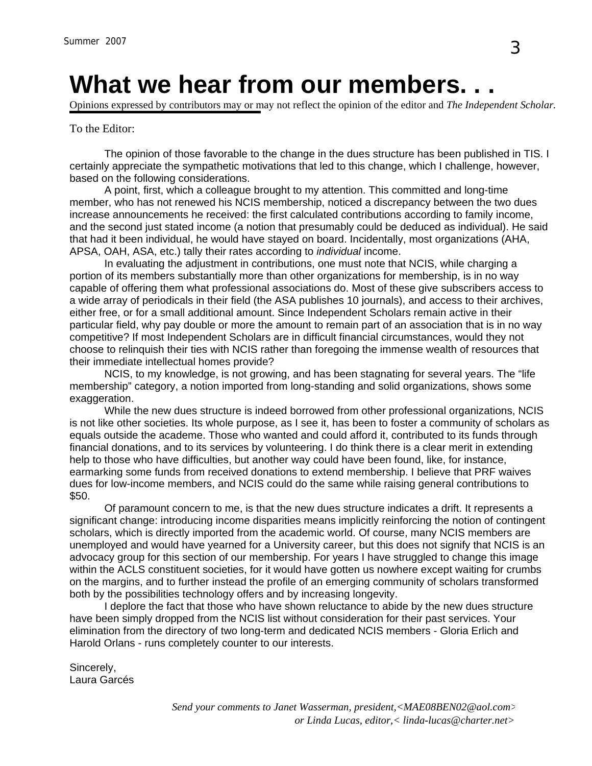## **What we hear from our members. . .**

Opinions expressed by contributors may or may not reflect the opinion of the editor and *The Independent Scholar.*

#### To the Editor:

The opinion of those favorable to the change in the dues structure has been published in TIS. I certainly appreciate the sympathetic motivations that led to this change, which I challenge, however, based on the following considerations.

A point, first, which a colleague brought to my attention. This committed and long-time member, who has not renewed his NCIS membership, noticed a discrepancy between the two dues increase announcements he received: the first calculated contributions according to family income, and the second just stated income (a notion that presumably could be deduced as individual). He said that had it been individual, he would have stayed on board. Incidentally, most organizations (AHA, APSA, OAH, ASA, etc.) tally their rates according to *individual* income.

In evaluating the adjustment in contributions, one must note that NCIS, while charging a portion of its members substantially more than other organizations for membership, is in no way capable of offering them what professional associations do. Most of these give subscribers access to a wide array of periodicals in their field (the ASA publishes 10 journals), and access to their archives, either free, or for a small additional amount. Since Independent Scholars remain active in their particular field, why pay double or more the amount to remain part of an association that is in no way competitive? If most Independent Scholars are in difficult financial circumstances, would they not choose to relinquish their ties with NCIS rather than foregoing the immense wealth of resources that their immediate intellectual homes provide?

NCIS, to my knowledge, is not growing, and has been stagnating for several years. The "life membership" category, a notion imported from long-standing and solid organizations, shows some exaggeration.

While the new dues structure is indeed borrowed from other professional organizations, NCIS is not like other societies. Its whole purpose, as I see it, has been to foster a community of scholars as equals outside the academe. Those who wanted and could afford it, contributed to its funds through financial donations, and to its services by volunteering. I do think there is a clear merit in extending help to those who have difficulties, but another way could have been found, like, for instance, earmarking some funds from received donations to extend membership. I believe that PRF waives dues for low-income members, and NCIS could do the same while raising general contributions to \$50.

Of paramount concern to me, is that the new dues structure indicates a drift. It represents a significant change: introducing income disparities means implicitly reinforcing the notion of contingent scholars, which is directly imported from the academic world. Of course, many NCIS members are unemployed and would have yearned for a University career, but this does not signify that NCIS is an advocacy group for this section of our membership. For years I have struggled to change this image within the ACLS constituent societies, for it would have gotten us nowhere except waiting for crumbs on the margins, and to further instead the profile of an emerging community of scholars transformed both by the possibilities technology offers and by increasing longevity.

I deplore the fact that those who have shown reluctance to abide by the new dues structure have been simply dropped from the NCIS list without consideration for their past services. Your elimination from the directory of two long-term and dedicated NCIS members - Gloria Erlich and Harold Orlans - runs completely counter to our interests.

Sincerely, Laura Garcés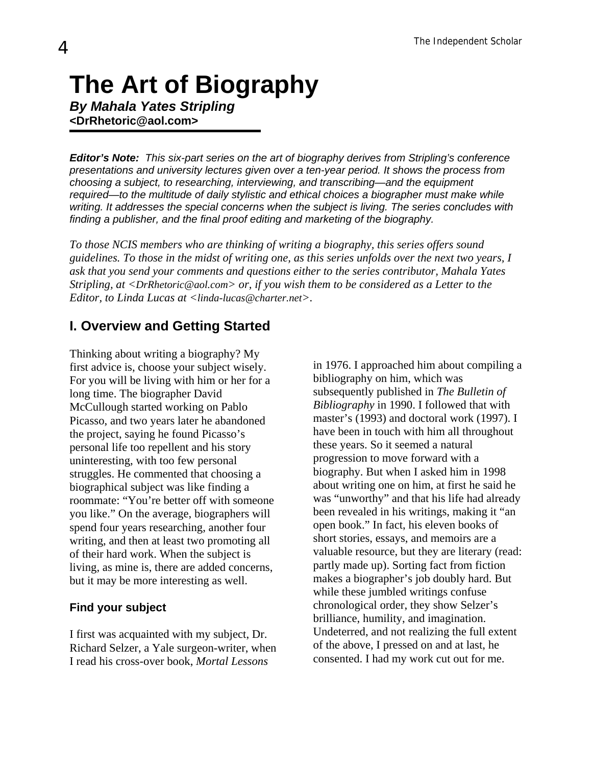## **The Art of Biography**

*By Mahala Yates Stripling*  **<DrRhetoric@aol.com>** 

*Editor's Note: This six-part series on the art of biography derives from Stripling's conference presentations and university lectures given over a ten-year period. It shows the process from choosing a subject, to researching, interviewing, and transcribing—and the equipment required—to the multitude of daily stylistic and ethical choices a biographer must make while writing. It addresses the special concerns when the subject is living. The series concludes with finding a publisher, and the final proof editing and marketing of the biography.* 

*To those NCIS members who are thinking of writing a biography, this series offers sound guidelines. To those in the midst of writing one, as this series unfolds over the next two years, I ask that you send your comments and questions either to the series contributor, Mahala Yates Stripling, at <[DrRhetoric@aol.com>](mailto:DrRhetoric@aol.com) or, if you wish them to be considered as a Letter to the Editor, to Linda Lucas at [<linda-lucas@charter.net](mailto:linda-lucas@charter.net)>.*

### **I. Overview and Getting Started**

Thinking about writing a biography? My first advice is, choose your subject wisely. For you will be living with him or her for a long time. The biographer David McCullough started working on Pablo Picasso, and two years later he abandoned the project, saying he found Picasso's personal life too repellent and his story uninteresting, with too few personal struggles. He commented that choosing a biographical subject was like finding a roommate: "You're better off with someone you like." On the average, biographers will spend four years researching, another four writing, and then at least two promoting all of their hard work. When the subject is living, as mine is, there are added concerns, but it may be more interesting as well.

#### **Find your subject**

I first was acquainted with my subject, Dr. Richard Selzer, a Yale surgeon-writer, when I read his cross-over book, *Mortal Lessons*

in 1976. I approached him about compiling a bibliography on him, which was subsequently published in *The Bulletin of Bibliography* in 1990. I followed that with master's (1993) and doctoral work (1997). I have been in touch with him all throughout these years. So it seemed a natural progression to move forward with a biography. But when I asked him in 1998 about writing one on him, at first he said he was "unworthy" and that his life had already been revealed in his writings, making it "an open book." In fact, his eleven books of short stories, essays, and memoirs are a valuable resource, but they are literary (read: partly made up). Sorting fact from fiction makes a biographer's job doubly hard. But while these jumbled writings confuse chronological order, they show Selzer's brilliance, humility, and imagination. Undeterred, and not realizing the full extent of the above, I pressed on and at last, he consented. I had my work cut out for me.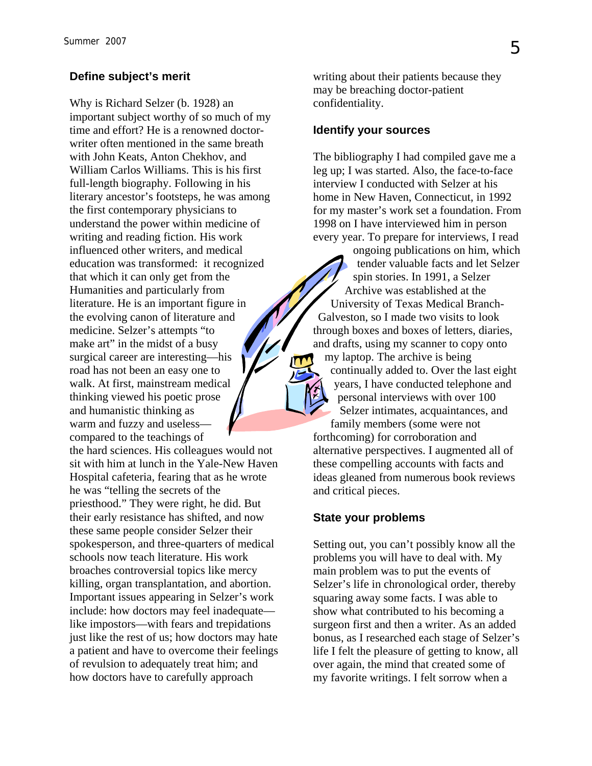#### **Define subject's merit**

Why is Richard Selzer (b. 1928) an important subject worthy of so much of my time and effort? He is a renowned doctorwriter often mentioned in the same breath with John Keats, Anton Chekhov, and William Carlos Williams. This is his first full-length biography. Following in his literary ancestor's footsteps, he was among the first contemporary physicians to understand the power within medicine of writing and reading fiction. His work influenced other writers, and medical education was transformed: it recognized that which it can only get from the Humanities and particularly from literature. He is an important figure in the evolving canon of literature and medicine. Selzer's attempts "to make art" in the midst of a busy surgical career are interesting—his road has not been an easy one to walk. At first, mainstream medical thinking viewed his poetic prose and humanistic thinking as warm and fuzzy and useless compared to the teachings of the hard sciences. His colleagues would not sit with him at lunch in the Yale-New Haven Hospital cafeteria, fearing that as he wrote he was "telling the secrets of the priesthood." They were right, he did. But their early resistance has shifted, and now these same people consider Selzer their spokesperson, and three-quarters of medical schools now teach literature. His work broaches controversial topics like mercy killing, organ transplantation, and abortion. Important issues appearing in Selzer's work include: how doctors may feel inadequate like impostors—with fears and trepidations just like the rest of us; how doctors may hate a patient and have to overcome their feelings of revulsion to adequately treat him; and how doctors have to carefully approach

writing about their patients because they may be breaching doctor-patient confidentiality.

#### **Identify your sources**

The bibliography I had compiled gave me a leg up; I was started. Also, the face-to-face interview I conducted with Selzer at his home in New Haven, Connecticut, in 1992 for my master's work set a foundation. From 1998 on I have interviewed him in person every year. To prepare for interviews, I read

ongoing publications on him, which tender valuable facts and let Selzer spin stories. In 1991, a Selzer Archive was established at the University of Texas Medical Branch-Galveston, so I made two visits to look through boxes and boxes of letters, diaries, and drafts, using my scanner to copy onto my laptop. The archive is being continually added to. Over the last eight years, I have conducted telephone and personal interviews with over 100 Selzer intimates, acquaintances, and family members (some were not forthcoming) for corroboration and alternative perspectives. I augmented all of these compelling accounts with facts and ideas gleaned from numerous book reviews and critical pieces.

#### **State your problems**

Setting out, you can't possibly know all the problems you will have to deal with. My main problem was to put the events of Selzer's life in chronological order, thereby squaring away some facts. I was able to show what contributed to his becoming a surgeon first and then a writer. As an added bonus, as I researched each stage of Selzer's life I felt the pleasure of getting to know, all over again, the mind that created some of my favorite writings. I felt sorrow when a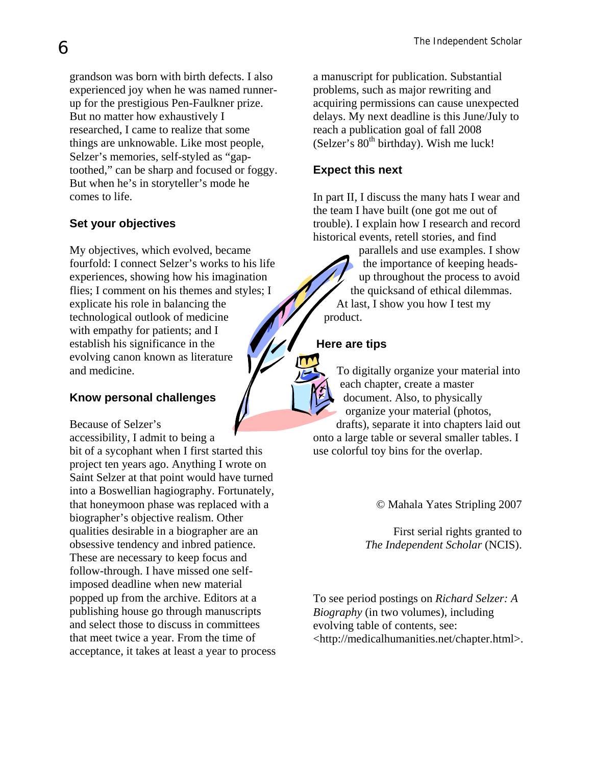grandson was born with birth defects. I also experienced joy when he was named runnerup for the prestigious Pen-Faulkner prize. But no matter how exhaustively I researched, I came to realize that some things are unknowable. Like most people, Selzer's memories, self-styled as "gaptoothed," can be sharp and focused or foggy. But when he's in storyteller's mode he comes to life.

#### **Set your objectives**

My objectives, which evolved, became fourfold: I connect Selzer's works to his life experiences, showing how his imagination flies; I comment on his themes and styles; I explicate his role in balancing the technological outlook of medicine with empathy for patients; and I establish his significance in the evolving canon known as literature and medicine.

#### **Know personal challenges**

Because of Selzer's

accessibility, I admit to being a bit of a sycophant when I first started this project ten years ago. Anything I wrote on Saint Selzer at that point would have turned into a Boswellian hagiography. Fortunately, that honeymoon phase was replaced with a biographer's objective realism. Other qualities desirable in a biographer are an obsessive tendency and inbred patience. These are necessary to keep focus and follow-through. I have missed one selfimposed deadline when new material popped up from the archive. Editors at a publishing house go through manuscripts and select those to discuss in committees that meet twice a year. From the time of acceptance, it takes at least a year to process

a manuscript for publication. Substantial problems, such as major rewriting and acquiring permissions can cause unexpected delays. My next deadline is this June/July to reach a publication goal of fall 2008  $(Selzer's 80<sup>th</sup> birthday)$ . Wish me luck!

#### **Expect this next**

In part II, I discuss the many hats I wear and the team I have built (one got me out of trouble). I explain how I research and record historical events, retell stories, and find

parallels and use examples. I show the importance of keeping headsup throughout the process to avoid the quicksand of ethical dilemmas. At last, I show you how I test my product.

#### **Here are tips**

To digitally organize your material into each chapter, create a master document. Also, to physically organize your material (photos,

drafts), separate it into chapters laid out onto a large table or several smaller tables. I use colorful toy bins for the overlap.

© Mahala Yates Stripling 2007

First serial rights granted to *The Independent Scholar* (NCIS).

To see period postings on *Richard Selzer: A Biography* (in two volumes), including evolving table of contents, see: <[http://medicalhumanities.net/chapter.html>](http://medicalhumanities.net/chapter.html).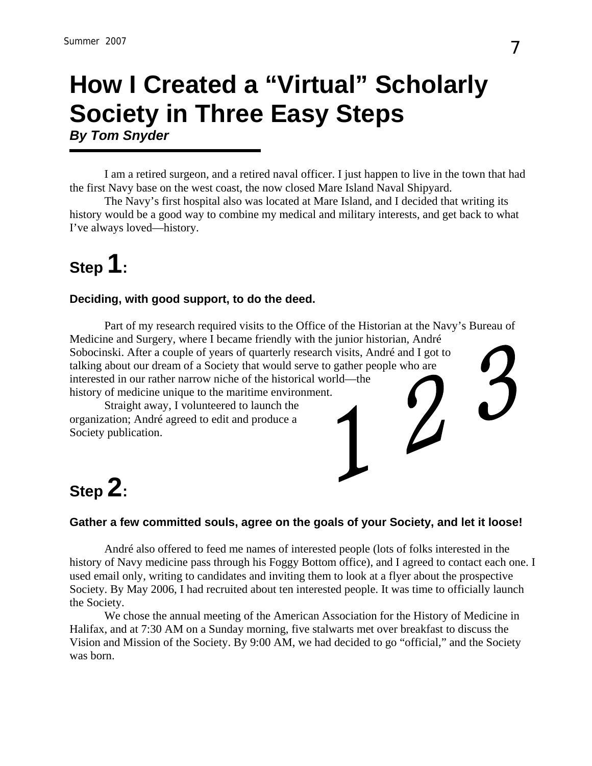## **How I Created a "Virtual" Scholarly Society in Three Easy Steps**  *By Tom Snyder*

I am a retired surgeon, and a retired naval officer. I just happen to live in the town that had the first Navy base on the west coast, the now closed Mare Island Naval Shipyard.

The Navy's first hospital also was located at Mare Island, and I decided that writing its history would be a good way to combine my medical and military interests, and get back to what I've always loved—history.

## **Step 1:**

#### **Deciding, with good support, to do the deed.**

Part of my research required visits to the Office of the Historian at the Navy's Bureau of Medicine and Surgery, where I became friendly with the junior historian, André Sobocinski. After a couple of years of quarterly research visits, André and I got to talking about our dream of a Society that would serve to gather people who are interested in our rather narrow niche of the historical world—the history of medicine unique to the maritime environment.

Straight away, I volunteered to launch the organization; André agreed to edit and produce a Society publication.



## **Step 2:**

#### **Gather a few committed souls, agree on the goals of your Society, and let it loose!**

André also offered to feed me names of interested people (lots of folks interested in the history of Navy medicine pass through his Foggy Bottom office), and I agreed to contact each one. I used email only, writing to candidates and inviting them to look at a flyer about the prospective Society. By May 2006, I had recruited about ten interested people. It was time to officially launch the Society.

We chose the annual meeting of the American Association for the History of Medicine in Halifax, and at 7:30 AM on a Sunday morning, five stalwarts met over breakfast to discuss the Vision and Mission of the Society. By 9:00 AM, we had decided to go "official," and the Society was born.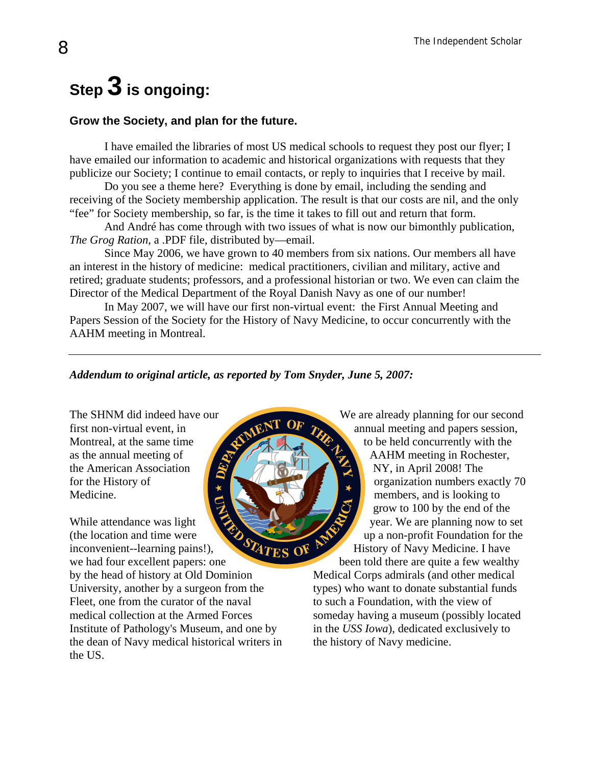## **Step 3 is ongoing:**

#### **Grow the Society, and plan for the future.**

I have emailed the libraries of most US medical schools to request they post our flyer; I have emailed our information to academic and historical organizations with requests that they publicize our Society; I continue to email contacts, or reply to inquiries that I receive by mail.

Do you see a theme here? Everything is done by email, including the sending and receiving of the Society membership application. The result is that our costs are nil, and the only "fee" for Society membership, so far, is the time it takes to fill out and return that form.

And André has come through with two issues of what is now our bimonthly publication, *The Grog Ration*, a .PDF file, distributed by—email.

Since May 2006, we have grown to 40 members from six nations. Our members all have an interest in the history of medicine: medical practitioners, civilian and military, active and retired; graduate students; professors, and a professional historian or two. We even can claim the Director of the Medical Department of the Royal Danish Navy as one of our number!

In May 2007, we will have our first non-virtual event: the First Annual Meeting and Papers Session of the Society for the History of Navy Medicine, to occur concurrently with the AAHM meeting in Montreal.

#### *Addendum to original article, as reported by Tom Snyder, June 5, 2007:*

STATES

The SHNM did indeed have our first non-virtual event, in Montreal, at the same time as the annual meeting of the American Association for the History of Medicine.

While attendance was light (the location and time were inconvenient--learning pains!), we had four excellent papers: one

by the head of history at Old Dominion University, another by a surgeon from the Fleet, one from the curator of the naval medical collection at the Armed Forces Institute of Pathology's Museum, and one by the dean of Navy medical historical writers in the US.

We are already planning for our second annual meeting and papers session, to be held concurrently with the AAHM meeting in Rochester, NY, in April 2008! The organization numbers exactly 70 members, and is looking to grow to 100 by the end of the year. We are planning now to set up a non-profit Foundation for the History of Navy Medicine. I have

been told there are quite a few wealthy Medical Corps admirals (and other medical types) who want to donate substantial funds to such a Foundation, with the view of someday having a museum (possibly located in the *USS Iowa*), dedicated exclusively to the history of Navy medicine.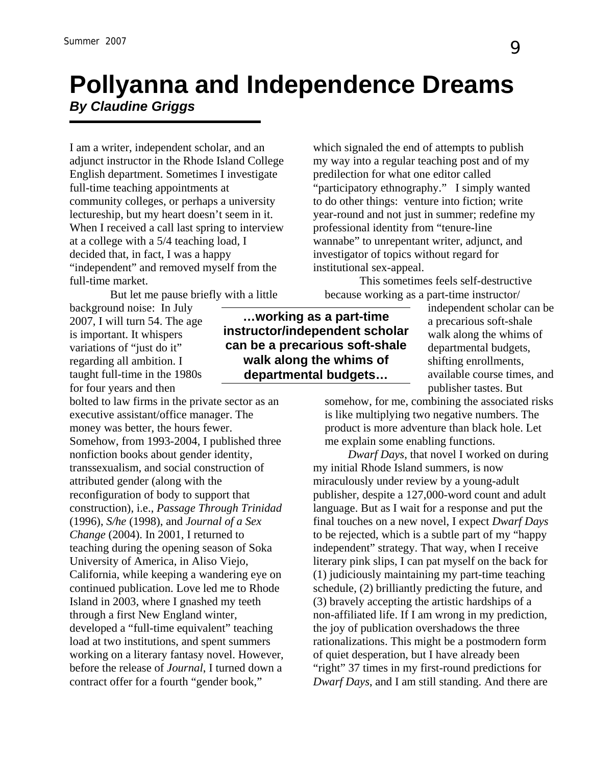## **Pollyanna and Independence Dreams**  *By Claudine Griggs*

I am a writer, independent scholar, and an adjunct instructor in the Rhode Island College English department. Sometimes I investigate full-time teaching appointments at community colleges, or perhaps a university lectureship, but my heart doesn't seem in it. When I received a call last spring to interview at a college with a 5/4 teaching load, I decided that, in fact, I was a happy "independent" and removed myself from the full-time market.

But let me pause briefly with a little

background noise: In July 2007, I will turn 54. The age is important. It whispers variations of "just do it" regarding all ambition. I taught full-time in the 1980s for four years and then

bolted to law firms in the private sector as an executive assistant/office manager. The money was better, the hours fewer. Somehow, from 1993-2004, I published three nonfiction books about gender identity, transsexualism, and social construction of attributed gender (along with the reconfiguration of body to support that construction), i.e., *Passage Through Trinidad* (1996), *S/he* (1998), and *Journal of a Sex Change* (2004). In 2001, I returned to teaching during the opening season of Soka University of America, in Aliso Viejo, California, while keeping a wandering eye on continued publication. Love led me to Rhode Island in 2003, where I gnashed my teeth through a first New England winter, developed a "full-time equivalent" teaching load at two institutions, and spent summers working on a literary fantasy novel. However, before the release of *Journal*, I turned down a contract offer for a fourth "gender book,"

which signaled the end of attempts to publish my way into a regular teaching post and of my predilection for what one editor called "participatory ethnography." I simply wanted to do other things: venture into fiction; write year-round and not just in summer; redefine my professional identity from "tenure-line wannabe" to unrepentant writer, adjunct, and investigator of topics without regard for institutional sex-appeal.

This sometimes feels self-destructive because working as a part-time instructor/

**…working as a part-time instructor/independent scholar can be a precarious soft-shale walk along the whims of departmental budgets…** 

independent scholar can be a precarious soft-shale walk along the whims of departmental budgets, shifting enrollments, available course times, and publisher tastes. But

somehow, for me, combining the associated risks is like multiplying two negative numbers. The product is more adventure than black hole. Let me explain some enabling functions.

*Dwarf Days*, that novel I worked on during my initial Rhode Island summers, is now miraculously under review by a young-adult publisher, despite a 127,000-word count and adult language. But as I wait for a response and put the final touches on a new novel, I expect *Dwarf Days* to be rejected, which is a subtle part of my "happy independent" strategy. That way, when I receive literary pink slips, I can pat myself on the back for (1) judiciously maintaining my part-time teaching schedule, (2) brilliantly predicting the future, and (3) bravely accepting the artistic hardships of a non-affiliated life. If I am wrong in my prediction, the joy of publication overshadows the three rationalizations. This might be a postmodern form of quiet desperation, but I have already been "right" 37 times in my first-round predictions for *Dwarf Days*, and I am still standing. And there are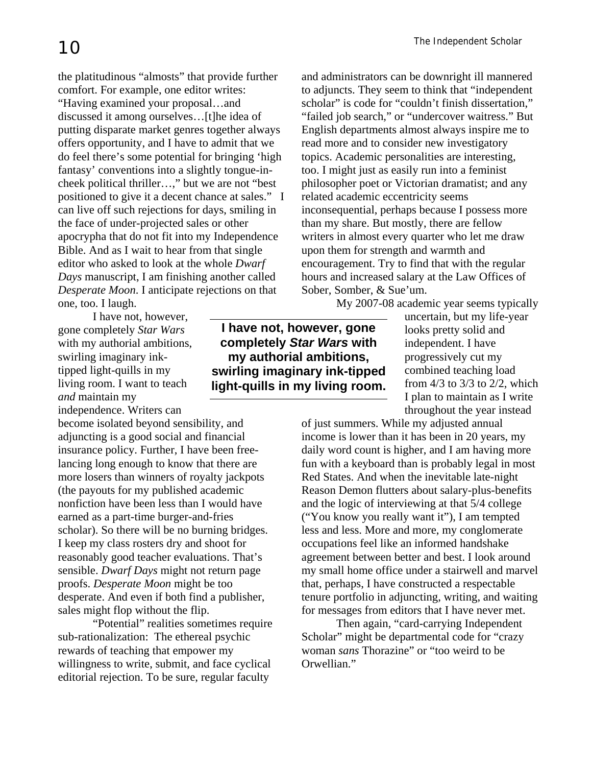the platitudinous "almosts" that provide further comfort. For example, one editor writes: "Having examined your proposal…and discussed it among ourselves…[t]he idea of putting disparate market genres together always offers opportunity, and I have to admit that we do feel there's some potential for bringing 'high fantasy' conventions into a slightly tongue-incheek political thriller…," but we are not "best positioned to give it a decent chance at sales." I can live off such rejections for days, smiling in the face of under-projected sales or other apocrypha that do not fit into my Independence Bible. And as I wait to hear from that single editor who asked to look at the whole *Dwarf Days* manuscript, I am finishing another called *Desperate Moon*. I anticipate rejections on that one, too. I laugh.

I have not, however, gone completely *Star Wars* with my authorial ambitions, swirling imaginary inktipped light-quills in my living room. I want to teach *and* maintain my independence. Writers can

become isolated beyond sensibility, and adjuncting is a good social and financial insurance policy. Further, I have been freelancing long enough to know that there are more losers than winners of royalty jackpots (the payouts for my published academic nonfiction have been less than I would have earned as a part-time burger-and-fries scholar). So there will be no burning bridges. I keep my class rosters dry and shoot for reasonably good teacher evaluations. That's sensible. *Dwarf Days* might not return page proofs. *Desperate Moon* might be too desperate. And even if both find a publisher, sales might flop without the flip.

"Potential" realities sometimes require sub-rationalization: The ethereal psychic rewards of teaching that empower my willingness to write, submit, and face cyclical editorial rejection. To be sure, regular faculty

**I have not, however, gone completely** *Star Wars* **with my authorial ambitions, swirling imaginary ink-tipped light-quills in my living room.**

and administrators can be downright ill mannered to adjuncts. They seem to think that "independent scholar" is code for "couldn't finish dissertation," "failed job search," or "undercover waitress." But English departments almost always inspire me to read more and to consider new investigatory topics. Academic personalities are interesting, too. I might just as easily run into a feminist philosopher poet or Victorian dramatist; and any related academic eccentricity seems inconsequential, perhaps because I possess more than my share. But mostly, there are fellow writers in almost every quarter who let me draw upon them for strength and warmth and encouragement. Try to find that with the regular hours and increased salary at the Law Offices of Sober, Somber, & Sue'um.

My 2007-08 academic year seems typically

uncertain, but my life-year looks pretty solid and independent. I have progressively cut my combined teaching load from 4/3 to 3/3 to 2/2, which I plan to maintain as I write throughout the year instead

of just summers. While my adjusted annual income is lower than it has been in 20 years, my daily word count is higher, and I am having more fun with a keyboard than is probably legal in most Red States. And when the inevitable late-night Reason Demon flutters about salary-plus-benefits and the logic of interviewing at that 5/4 college ("You know you really want it"), I am tempted less and less. More and more, my conglomerate occupations feel like an informed handshake agreement between better and best. I look around my small home office under a stairwell and marvel that, perhaps, I have constructed a respectable tenure portfolio in adjuncting, writing, and waiting for messages from editors that I have never met.

Then again, "card-carrying Independent Scholar" might be departmental code for "crazy woman *sans* Thorazine" or "too weird to be Orwellian."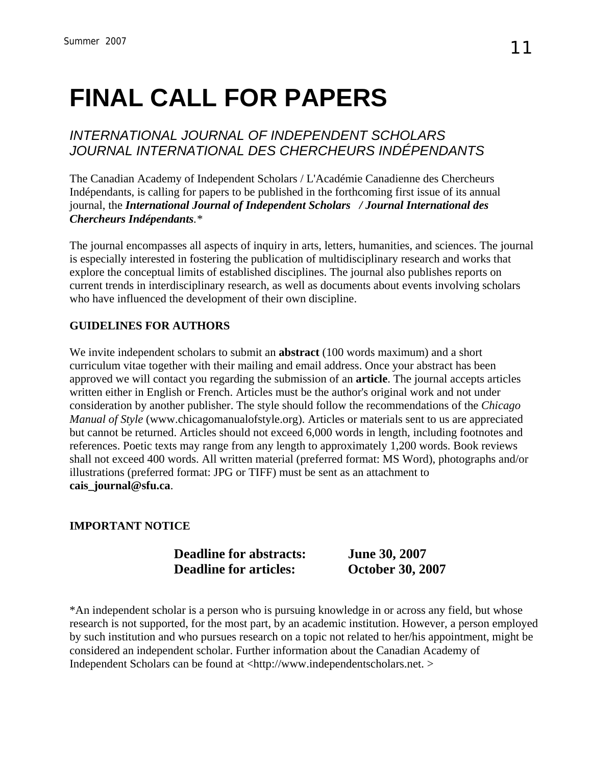## **FINAL CALL FOR PAPERS**

### *INTERNATIONAL JOURNAL OF INDEPENDENT SCHOLARS JOURNAL INTERNATIONAL DES CHERCHEURS INDÉPENDANTS*

The Canadian Academy of Independent Scholars / L'Académie Canadienne des Chercheurs Indépendants, is calling for papers to be published in the forthcoming first issue of its annual journal, the *International Journal of Independent Scholars / Journal International des Chercheurs Indépendants.\**

The journal encompasses all aspects of inquiry in arts, letters, humanities, and sciences. The journal is especially interested in fostering the publication of multidisciplinary research and works that explore the conceptual limits of established disciplines. The journal also publishes reports on current trends in interdisciplinary research, as well as documents about events involving scholars who have influenced the development of their own discipline.

#### **GUIDELINES FOR AUTHORS**

We invite independent scholars to submit an **abstract** (100 words maximum) and a short curriculum vitae together with their mailing and email address. Once your abstract has been approved we will contact you regarding the submission of an **article**. The journal accepts articles written either in English or French. Articles must be the author's original work and not under consideration by another publisher. The style should follow the recommendations of the *Chicago Manual of Style* (www.chicagomanualofstyle.org). Articles or materials sent to us are appreciated but cannot be returned. Articles should not exceed 6,000 words in length, including footnotes and references. Poetic texts may range from any length to approximately 1,200 words. Book reviews shall not exceed 400 words. All written material (preferred format: MS Word), photographs and/or illustrations (preferred format: JPG or TIFF) must be sent as an attachment to **cais\_journal@sfu.ca**.

#### **IMPORTANT NOTICE**

#### **Deadline for abstracts: June 30, 2007 Deadline for articles: October 30, 2007**

\*An independent scholar is a person who is pursuing knowledge in or across any field, but whose research is not supported, for the most part, by an academic institution. However, a person employed by such institution and who pursues research on a topic not related to her/his appointment, might be considered an independent scholar. Further information about the Canadian Academy of Independent Scholars can be found at <http://www.independentscholars.net. >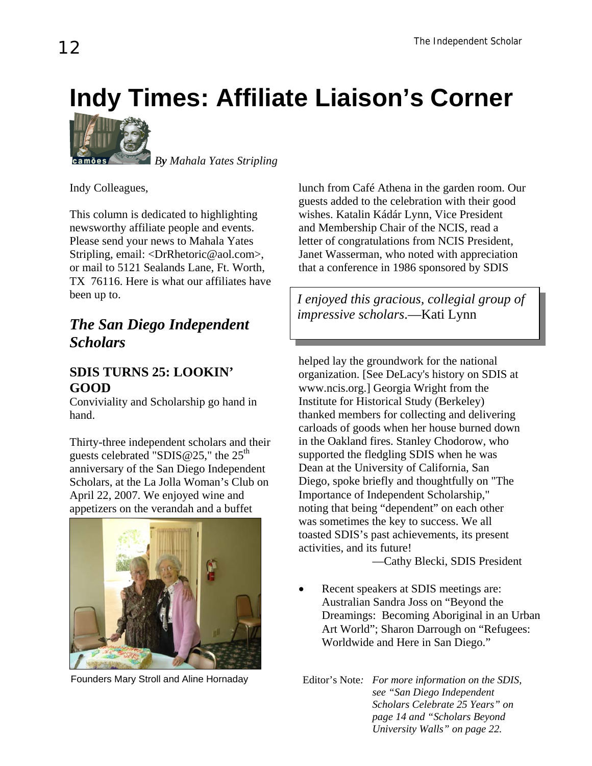## **Indy Times: Affiliate Liaison's Corner**



 *By Mahala Yates Stripling*

Indy Colleagues,

This column is dedicated to highlighting newsworthy affiliate people and events. Please send your news to Mahala Yates Stripling, email: <[DrRhetoric@aol.com](mailto:DrRhetoric@aol.com)>, or mail to 5121 Sealands Lane, Ft. Worth, TX 76116. Here is what our affiliates have been up to.

## *impressive scholars*.—Kati Lynn *The San Diego Independent Scholars*

### **SDIS TURNS 25: LOOKIN' GOOD**

Conviviality and Scholarship go hand in hand.

Thirty-three independent scholars and their guests celebrated "SDIS  $@25$ ," the  $25<sup>th</sup>$ anniversary of the San Diego Independent Scholars, at the La Jolla Woman's Club on April 22, 2007. We enjoyed wine and appetizers on the verandah and a buffet



Founders Mary Stroll and Aline Hornaday

lunch from Café Athena in the garden room. Our guests added to the celebration with their good wishes. Katalin Kádár Lynn, Vice President and Membership Chair of the NCIS, read a letter of congratulations from NCIS President, Janet Wasserman, who noted with appreciation that a conference in 1986 sponsored by SDIS

*I enjoyed this gracious, collegial group of* 

helped lay the groundwork for the national organization. [See DeLacy's history on SDIS at [www.ncis.org](http://www.ncis.org/).] Georgia Wright from the Institute for Historical Study (Berkeley) thanked members for collecting and delivering carloads of goods when her house burned down in the Oakland fires. Stanley Chodorow, who supported the fledgling SDIS when he was Dean at the University of California, San Diego, spoke briefly and thoughtfully on "The Importance of Independent Scholarship," noting that being "dependent" on each other was sometimes the key to success. We all toasted SDIS's past achievements, its present activities, and its future!

—Cathy Blecki, SDIS President

- Recent speakers at SDIS meetings are: Australian Sandra Joss on "Beyond the Dreamings: Becoming Aboriginal in an Urban Art World"; Sharon Darrough on "Refugees: Worldwide and Here in San Diego."
- Editor's Note*: For more information on the SDIS, see "San Diego Independent Scholars Celebrate 25 Years" on page 14 and "Scholars Beyond University Walls" on page 22.*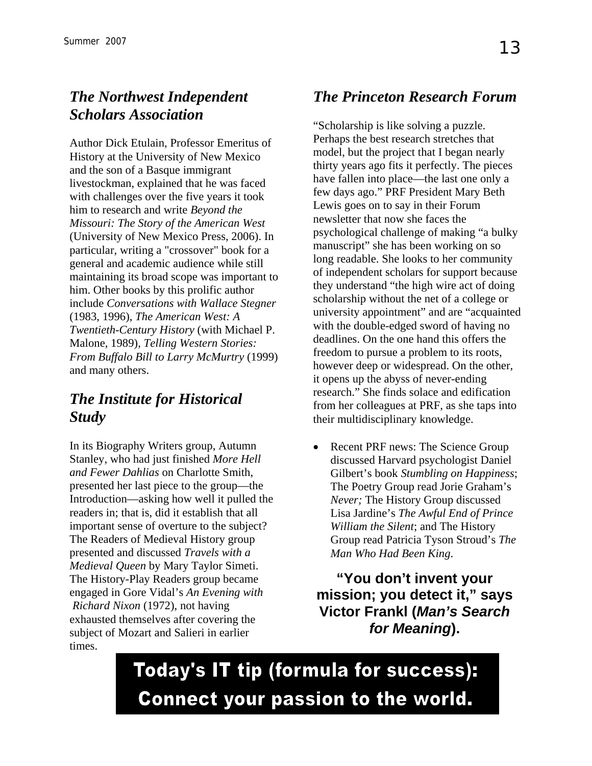## *The Northwest Independent Scholars Association*

Author Dick Etulain, Professor Emeritus of History at the University of New Mexico and the son of a Basque immigrant livestockman, explained that he was faced with challenges over the five years it took him to research and write *Beyond the Missouri: The Story of the American West* (University of New Mexico Press, 2006). In particular, writing a "crossover" book for a general and academic audience while still maintaining its broad scope was important to him. Other books by this prolific author include *Conversations with Wallace Stegner* (1983, 1996), *The American West: A Twentieth-Century History* (with Michael P. Malone, 1989), *Telling Western Stories: From Buffalo Bill to Larry McMurtry* (1999) and many others.

## *The Institute for Historical Study*

In its Biography Writers group, Autumn Stanley, who had just finished *More Hell and Fewer Dahlias* on Charlotte Smith, presented her last piece to the group—the Introduction—asking how well it pulled the readers in; that is, did it establish that all important sense of overture to the subject? The Readers of Medieval History group presented and discussed *Travels with a Medieval Queen* by Mary Taylor Simeti. The History-Play Readers group became engaged in Gore Vidal's *An Evening with Richard Nixon* (1972), not having exhausted themselves after covering the subject of Mozart and Salieri in earlier times.

## *The Princeton Research Forum*

"Scholarship is like solving a puzzle. Perhaps the best research stretches that model, but the project that I began nearly thirty years ago fits it perfectly. The pieces have fallen into place—the last one only a few days ago." PRF President Mary Beth Lewis goes on to say in their Forum newsletter that now she faces the psychological challenge of making "a bulky manuscript" she has been working on so long readable. She looks to her community of independent scholars for support because they understand "the high wire act of doing scholarship without the net of a college or university appointment" and are "acquainted with the double-edged sword of having no deadlines. On the one hand this offers the freedom to pursue a problem to its roots, however deep or widespread. On the other, it opens up the abyss of never-ending research." She finds solace and edification from her colleagues at PRF, as she taps into their multidisciplinary knowledge.

• Recent PRF news: The Science Group discussed Harvard psychologist Daniel Gilbert's book *Stumbling on Happiness*; The Poetry Group read Jorie Graham's *Never;* The History Group discussed Lisa Jardine's *The Awful End of Prince William the Silent*; and The History Group read Patricia Tyson Stroud's *The Man Who Had Been King*.

**"You don't invent your mission; you detect it," says Victor Frankl (***Man's Search for Meaning***).** 

Today's IT tip (formula for success): **Connect your passion to the world.**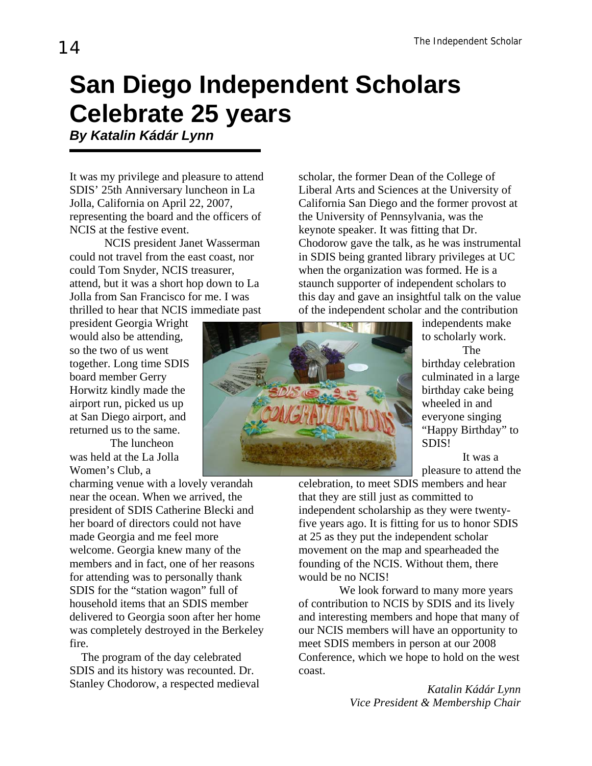## **San Diego Independent Scholars Celebrate 25 years** *By Katalin Kádár Lynn*

It was my privilege and pleasure to attend SDIS' 25th Anniversary luncheon in La Jolla, California on April 22, 2007, representing the board and the officers of NCIS at the festive event.

NCIS president Janet Wasserman could not travel from the east coast, nor could Tom Snyder, NCIS treasurer, attend, but it was a short hop down to La Jolla from San Francisco for me. I was thrilled to hear that NCIS immediate past

president Georgia Wright would also be attending, so the two of us went together. Long time SDIS board member Gerry Horwitz kindly made the airport run, picked us up at San Diego airport, and returned us to the same.

 The luncheon was held at the La Jolla Women's Club, a

charming venue with a lovely verandah near the ocean. When we arrived, the president of SDIS Catherine Blecki and her board of directors could not have made Georgia and me feel more welcome. Georgia knew many of the members and in fact, one of her reasons for attending was to personally thank SDIS for the "station wagon" full of household items that an SDIS member delivered to Georgia soon after her home was completely destroyed in the Berkeley fire.

The program of the day celebrated SDIS and its history was recounted. Dr. Stanley Chodorow, a respected medieval scholar, the former Dean of the College of Liberal Arts and Sciences at the University of California San Diego and the former provost at the University of Pennsylvania, was the keynote speaker. It was fitting that Dr. Chodorow gave the talk, as he was instrumental in SDIS being granted library privileges at UC when the organization was formed. He is a staunch supporter of independent scholars to this day and gave an insightful talk on the value of the independent scholar and the contribution



independents make to scholarly work. The

birthday cele bration culminated in a large birthday cake being wheeled in and everyone singing "Happy Birthday" to SDIS!

 It was a pleasure to attend the

celebration, to meet SDIS members and hear that they are still just as committed to independent scholarship as they were twentyfive years ago. It is fitting for us to honor SDIS at 25 as they put the independent scholar movement on the map and spearheaded the founding of the NCIS. Without them, there would be no NCIS!

 We look forward to many more years of contribution to NCIS by SDIS and its lively and interesting members and hope that many of our NCIS members will have an opportunity to meet SDIS members in person at our 2008 Conference, which we hope to hold on the west coast.

> *Katalin Kádár Lynn Vice President & Membership Chair*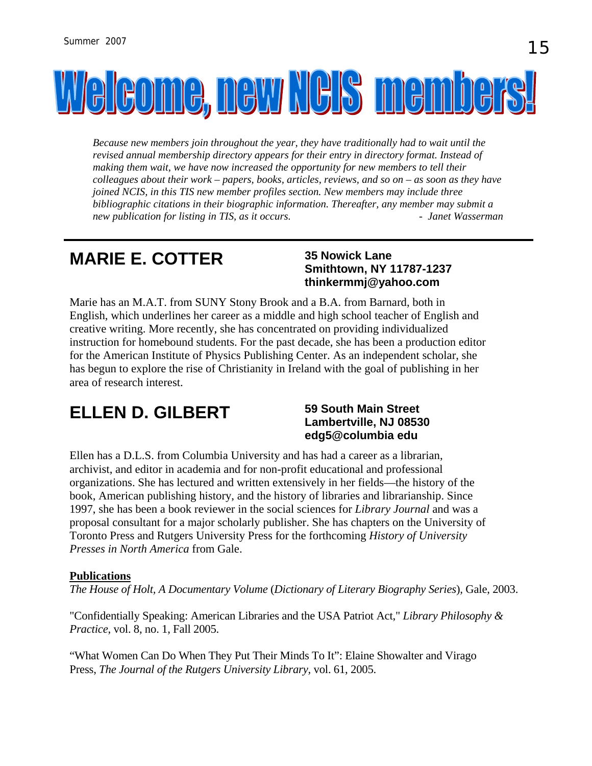

*Because new members join throughout the year, they have traditionally had to wait until the revised annual membership directory appears for their entry in directory format. Instead of making them wait, we have now increased the opportunity for new members to tell their colleagues about their work – papers, books, articles, reviews, and so on – as soon as they have joined NCIS, in this TIS new member profiles section. New members may include three bibliographic citations in their biographic information. Thereafter, any member may submit a new publication for listing in TIS, as it occurs.* The *Janet Wasserman and your analyze the strain in the Janet Wasserman* 

## **MARIE E. COTTER**

#### **35 Nowick Lane Smithtown, NY 11787-1237 thinkermmj@yahoo.com**

Marie has an M.A.T. from SUNY Stony Brook and a B.A. from Barnard, both in English, which underlines her career as a middle and high school teacher of English and creative writing. More recently, she has concentrated on providing individualized instruction for homebound students. For the past decade, she has been a production editor for the American Institute of Physics Publishing Center. As an independent scholar, she has begun to explore the rise of Christianity in Ireland with the goal of publishing in her area of research interest.

## **ELLEN D. GILBERT** 59 South Main Street

## **Lambertville, NJ 08530 edg5@columbia edu**

Ellen has a D.L.S. from Columbia University and has had a career as a librarian, archivist, and editor in academia and for non-profit educational and professional organizations. She has lectured and written extensively in her fields—the history of the book, American publishing history, and the history of libraries and librarianship. Since 1997, she has been a book reviewer in the social sciences for *Library Journal* and was a proposal consultant for a major scholarly publisher. She has chapters on the University of Toronto Press and Rutgers University Press for the forthcoming *History of University Presses in North America* from Gale.

#### **Publications**

*The House of Holt, A Documentary Volume* (*Dictionary of Literary Biography Series*)*,* Gale, 2003.

"Confidentially Speaking: American Libraries and the USA Patriot Act," *Library Philosophy & Practice*, vol. 8, no. 1, Fall 2005.

"What Women Can Do When They Put Their Minds To It": Elaine Showalter and Virago Press, *The Journal of the Rutgers University Library,* vol. 61, 2005.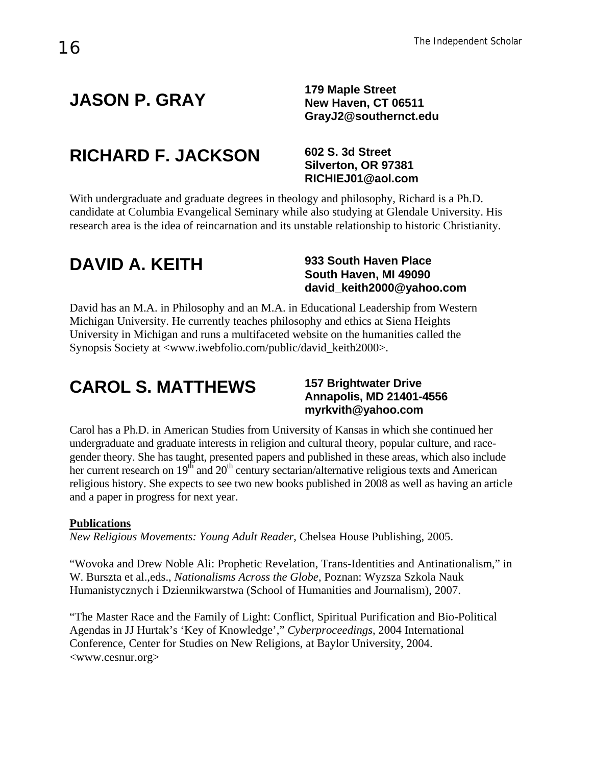## **JASON P. GRAY 179 Maple Street**

**New Haven, CT 06511 [GrayJ2@southernct.edu](mailto:GrayJ2@southernct.edu)**

## **RICHARD F. JACKSON 602 S. 3d Street**

## **Silverton, OR 97381 RICHIEJ01@aol.com**

With undergraduate and graduate degrees in theology and philosophy, Richard is a Ph.D. candidate at Columbia Evangelical Seminary while also studying at Glendale University. His research area is the idea of reincarnation and its unstable relationship to historic Christianity.

## **DAVID A. KEITH 933 South Haven Place**

## **South Haven, MI 49090 david\_keith2000@yahoo.com**

David has an M.A. in Philosophy and an M.A. in Educational Leadership from Western Michigan University. He currently teaches philosophy and ethics at Siena Heights University in Michigan and runs a multifaceted website on the humanities called the Synopsis Society at <www.iwebfolio.com/public/david\_keith2000>.

## **CAROL S. MATTHEWS**

#### **157 Brightwater Drive Annapolis, MD 21401-4556 myrkvith@yahoo.com**

Carol has a Ph.D. in American Studies from University of Kansas in which she continued her undergraduate and graduate interests in religion and cultural theory, popular culture, and racegender theory. She has taught, presented papers and published in these areas, which also include her current research on  $19<sup>th</sup>$  and  $20<sup>th</sup>$  century sectarian/alternative religious texts and American religious history. She expects to see two new books published in 2008 as well as having an article and a paper in progress for next year.

#### **Publications**

*New Religious Movements: Young Adult Reader*, Chelsea House Publishing, 2005.

"Wovoka and Drew Noble Ali: Prophetic Revelation, Trans-Identities and Antinationalism," in W. Burszta et al.,eds., *Nationalisms Across the Globe*, Poznan: Wyzsza Szkola Nauk Humanistycznych i Dziennikwarstwa (School of Humanities and Journalism), 2007.

"The Master Race and the Family of Light: Conflict, Spiritual Purification and Bio-Political Agendas in JJ Hurtak's 'Key of Knowledge'," *Cyberproceedings*, 2004 International Conference, Center for Studies on New Religions, at Baylor University, 2004. <www.cesnur.org>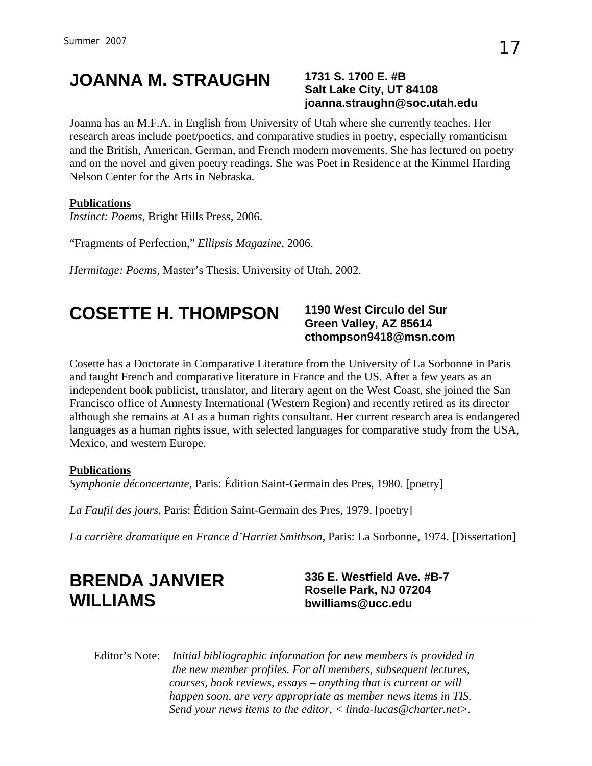## **JOANNA M. STRAUGHN 1731 S. 1700 E. #B**

## **Salt Lake City, UT 84108 joanna.straughn@soc.utah.edu**

Joanna has an M.F.A. in English from University of Utah where she currently teaches. Her research areas include poet/poetics, and comparative studies in poetry, especially romanticism and the British, American, German, and French modern movements. She has lectured on poetry and on the novel and given poetry readings. She was Poet in Residence at the Kimmel Harding Nelson Center for the Arts in Nebraska.

#### **Publications**

*Instinct: Poems*, Bright Hills Press, 2006.

"Fragments of Perfection," *Ellipsis Magazine*, 2006.

*Hermitage: Poems*, Master's Thesis, University of Utah, 2002.

## **COSETTE H. THOMPSON 1190 West Circulo del Sur**

## **Green Valley, AZ 85614 [cthompson9418@msn.com](mailto:cthompson9418@msn.com)**

Cosette has a Doctorate in Comparative Literature from the University of La Sorbonne in Paris and taught French and comparative literature in France and the US. After a few years as an independent book publicist, translator, and literary agent on the West Coast, she joined the San Francisco office of Amnesty International (Western Region) and recently retired as its director although she remains at AI as a human rights consultant. Her current research area is endangered languages as a human rights issue, with selected languages for comparative study from the USA, Mexico, and western Europe.

#### **Publications**

*Symphonie déconcertante*, Paris: Édition Saint-Germain des Pres, 1980. [poetry]

*La Faufil des jours*, Paris: Édition Saint-Germain des Pres, 1979. [poetry]

*La carrière dramatique en France d'Harriet Smithson*, Paris: La Sorbonne, 1974. [Dissertation]

## **BRENDA JANVIER WILLIAMS**

**336 E. Westfield Ave. #B-7 Roselle Park, NJ 07204 [bwilliams@ucc.edu](mailto:bwilliams@ucc.edu)**

Editor's Note: *Initial bibliographic information for new members is provided in the new member profiles. For all members, subsequent lectures, courses, book reviews, essays – anything that is current or will happen soon, are very appropriate as member news items in TIS. Send your news items to the editor, < [linda-lucas@charter.net](mailto:linda-lucas@charter.net)>.*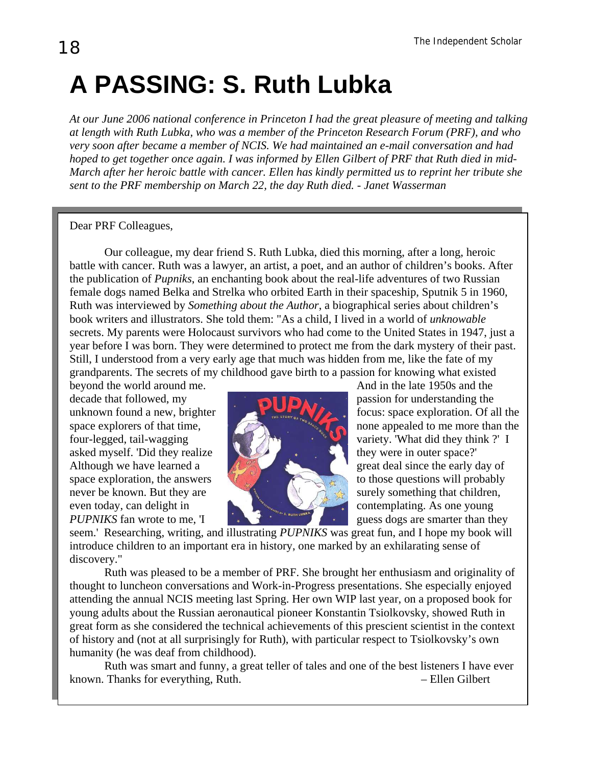## **A PASSING: S. Ruth Lubka**

*At our June 2006 national conference in Princeton I had the great pleasure of meeting and talking at length with Ruth Lubka, who was a member of the Princeton Research Forum (PRF), and who very soon after became a member of NCIS. We had maintained an e-mail conversation and had hoped to get together once again. I was informed by Ellen Gilbert of PRF that Ruth died in mid-March after her heroic battle with cancer. Ellen has kindly permitted us to reprint her tribute she sent to the PRF membership on March 22, the day Ruth died.* - *Janet Wasserman*

Dear PRF Colleagues,

Our colleague, my dear friend S. Ruth Lubka, died this morning, after a long, heroic battle with cancer. Ruth was a lawyer, an artist, a poet, and an author of children's books. After the publication of *Pupniks*, an enchanting book about the real-life adventures of two Russian female dogs named Belka and Strelka who orbited Earth in their spaceship, Sputnik 5 in 1960, Ruth was interviewed by *Something about the Author*, a biographical series about children's book writers and illustrators. She told them: "As a child, I lived in a world of *unknowable* secrets. My parents were Holocaust survivors who had come to the United States in 1947, just a year before I was born. They were determined to protect me from the dark mystery of their past. Still, I understood from a very early age that much was hidden from me, like the fate of my grandparents. The secrets of my childhood gave birth to a passion for knowing what existed

decade that followed, my passion for understanding the asked myself. 'Did they realize they were in outer space?' never be known. But they are surely something that children, even today, can delight in contemplating. As one young



beyond the world around me. And in the late 1950s and the unknown found a new, brighter  $\mathbb{R}$  focus: space exploration. Of all the space explorers of that time, four-legged, tail-wagging  $\left\| \left( \frac{1}{2} \right)^{n} \right\|$  variety. 'What did they think ?' I Although we have learned a great deal since the early day of space exploration, the answers to those questions will probably *PUPNIKS* fan wrote to me, 'I guess dogs are smarter than they

seem.' Researching, writing, and illustrating *PUPNIKS* was great fun, and I hope my book will introduce children to an important era in history, one marked by an exhilarating sense of discovery."

 Ruth was pleased to be a member of PRF. She brought her enthusiasm and originality of thought to luncheon conversations and Work-in-Progress presentations. She especially enjoyed attending the annual NCIS meeting last Spring. Her own WIP last year, on a proposed book for young adults about the Russian aeronautical pioneer Konstantin Tsiolkovsky, showed Ruth in great form as she considered the technical achievements of this prescient scientist in the context of history and (not at all surprisingly for Ruth), with particular respect to Tsiolkovsky's own humanity (he was deaf from childhood).

Ruth was smart and funny, a great teller of tales and one of the best listeners I have ever known. Thanks for everything, Ruth. – Ellen Gilbert

I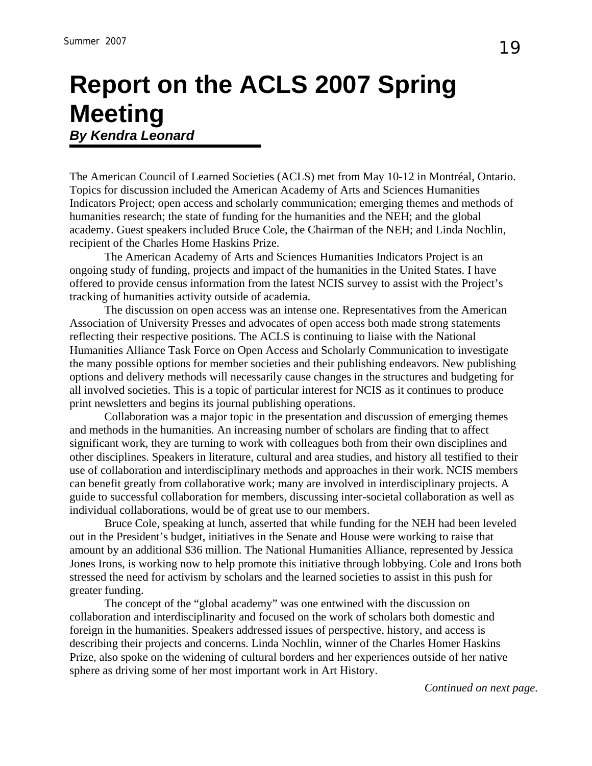## **Report on the ACLS 2007 Spring Meeting**  *By Kendra Leonard*

The American Council of Learned Societies (ACLS) met from May 10-12 in Montréal, Ontario. Topics for discussion included the American Academy of Arts and Sciences Humanities Indicators Project; open access and scholarly communication; emerging themes and methods of humanities research; the state of funding for the humanities and the NEH; and the global academy. Guest speakers included Bruce Cole, the Chairman of the NEH; and Linda Nochlin, recipient of the Charles Home Haskins Prize.

The American Academy of Arts and Sciences Humanities Indicators Project is an ongoing study of funding, projects and impact of the humanities in the United States. I have offered to provide census information from the latest NCIS survey to assist with the Project's tracking of humanities activity outside of academia.

The discussion on open access was an intense one. Representatives from the American Association of University Presses and advocates of open access both made strong statements reflecting their respective positions. The ACLS is continuing to liaise with the National Humanities Alliance Task Force on Open Access and Scholarly Communication to investigate the many possible options for member societies and their publishing endeavors. New publishing options and delivery methods will necessarily cause changes in the structures and budgeting for all involved societies. This is a topic of particular interest for NCIS as it continues to produce print newsletters and begins its journal publishing operations.

Collaboration was a major topic in the presentation and discussion of emerging themes and methods in the humanities. An increasing number of scholars are finding that to affect significant work, they are turning to work with colleagues both from their own disciplines and other disciplines. Speakers in literature, cultural and area studies, and history all testified to their use of collaboration and interdisciplinary methods and approaches in their work. NCIS members can benefit greatly from collaborative work; many are involved in interdisciplinary projects. A guide to successful collaboration for members, discussing inter-societal collaboration as well as individual collaborations, would be of great use to our members.

Bruce Cole, speaking at lunch, asserted that while funding for the NEH had been leveled out in the President's budget, initiatives in the Senate and House were working to raise that amount by an additional \$36 million. The National Humanities Alliance, represented by Jessica Jones Irons, is working now to help promote this initiative through lobbying. Cole and Irons both stressed the need for activism by scholars and the learned societies to assist in this push for greater funding.

The concept of the "global academy" was one entwined with the discussion on collaboration and interdisciplinarity and focused on the work of scholars both domestic and foreign in the humanities. Speakers addressed issues of perspective, history, and access is describing their projects and concerns. Linda Nochlin, winner of the Charles Homer Haskins Prize, also spoke on the widening of cultural borders and her experiences outside of her native sphere as driving some of her most important work in Art History.

*Continued on next page.*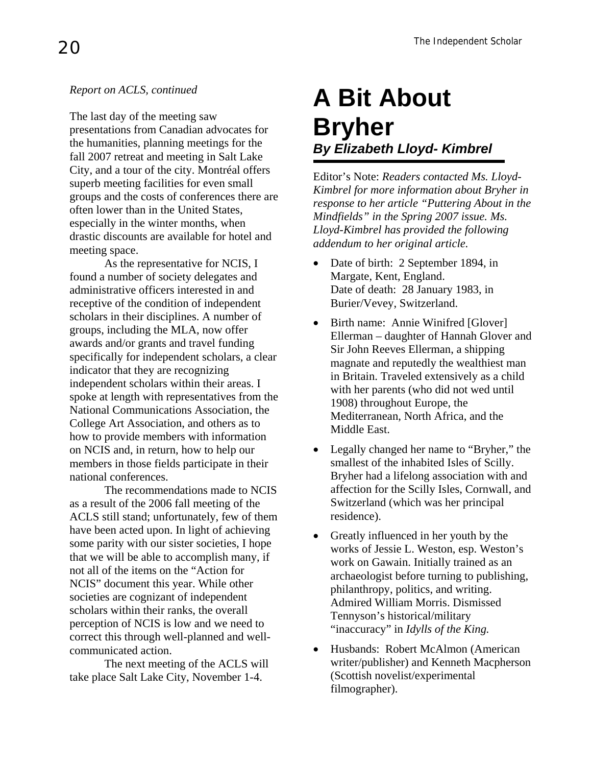#### *Report on ACLS, continued*

The last day of the meeting saw presentations from Canadian advocates for the humanities, planning meetings for the fall 2007 retreat and meeting in Salt Lake City, and a tour of the city. Montréal offers superb meeting facilities for even small groups and the costs of conferences there are often lower than in the United States, especially in the winter months, when drastic discounts are available for hotel and meeting space.

As the representative for NCIS, I found a number of society delegates and administrative officers interested in and receptive of the condition of independent scholars in their disciplines. A number of groups, including the MLA, now offer awards and/or grants and travel funding specifically for independent scholars, a clear indicator that they are recognizing independent scholars within their areas. I spoke at length with representatives from the National Communications Association, the College Art Association, and others as to how to provide members with information on NCIS and, in return, how to help our members in those fields participate in their national conferences.

The recommendations made to NCIS as a result of the 2006 fall meeting of the ACLS still stand; unfortunately, few of them have been acted upon. In light of achieving some parity with our sister societies, I hope that we will be able to accomplish many, if not all of the items on the "Action for NCIS" document this year. While other societies are cognizant of independent scholars within their ranks, the overall perception of NCIS is low and we need to correct this through well-planned and wellcommunicated action.

The next meeting of the ACLS will take place Salt Lake City, November 1-4.

## **A Bit About Bryher** *By Elizabeth Lloyd- Kimbrel*

Editor's Note: *Readers contacted Ms. Lloyd-Kimbrel for more information about Bryher in response to her article "Puttering About in the Mindfields" in the Spring 2007 issue. Ms. Lloyd-Kimbrel has provided the following addendum to her original article.* 

- Date of birth: 2 September 1894, in Margate, Kent, England. Date of death: 28 January 1983, in Burier/Vevey, Switzerland.
- Birth name: Annie Winifred [Glover] Ellerman – daughter of Hannah Glover and Sir John Reeves Ellerman, a shipping magnate and reputedly the wealthiest man in Britain. Traveled extensively as a child with her parents (who did not wed until 1908) throughout Europe, the Mediterranean, North Africa, and the Middle East.
- Legally changed her name to "Bryher," the smallest of the inhabited Isles of Scilly. Bryher had a lifelong association with and affection for the Scilly Isles, Cornwall, and Switzerland (which was her principal residence).
- Greatly influenced in her youth by the works of Jessie L. Weston, esp. Weston's work on Gawain. Initially trained as an archaeologist before turning to publishing, philanthropy, politics, and writing. Admired William Morris. Dismissed Tennyson's historical/military "inaccuracy" in *Idylls of the King.*
- Husbands: Robert McAlmon (American writer/publisher) and Kenneth Macpherson (Scottish novelist/experimental filmographer).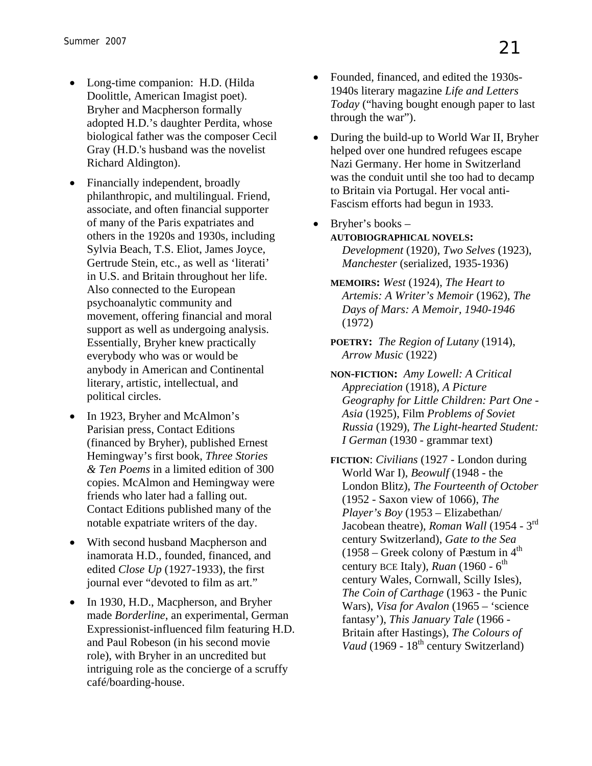- Long-time companion: H.D. (Hilda Doolittle, American Imagist poet). Bryher and Macpherson formally adopted H.D.'s daughter Perdita, whose biological father was the composer Cecil Gray (H.D.'s husband was the novelist Richard Aldington).
- Financially independent, broadly philanthropic, and multilingual. Friend, associate, and often financial supporter of many of the Paris expatriates and others in the 1920s and 1930s, including Sylvia Beach, T.S. Eliot, James Joyce, Gertrude Stein, etc., as well as 'literati' in U.S. and Britain throughout her life. Also connected to the European psychoanalytic community and movement, offering financial and moral support as well as undergoing analysis. Essentially, Bryher knew practically everybody who was or would be anybody in American and Continental literary, artistic, intellectual, and political circles.
- In 1923, Bryher and McAlmon's Parisian press, Contact Editions (financed by Bryher), published Ernest Hemingway's first book, *Three Stories & Ten Poems* in a limited edition of 300 copies. McAlmon and Hemingway were friends who later had a falling out. Contact Editions published many of the notable expatriate writers of the day.
- With second husband Macpherson and inamorata H.D., founded, financed, and edited *Close Up* (1927-1933), the first journal ever "devoted to film as art."
- In 1930, H.D., Macpherson, and Bryher made *Borderline*, an experimental, German Expressionist-influenced film featuring H.D. and Paul Robeson (in his second movie role), with Bryher in an uncredited but intriguing role as the concierge of a scruffy café/boarding-house.
- Founded, financed, and edited the 1930s-1940s literary magazine *Life and Letters Today* ("having bought enough paper to last through the war").
- During the build-up to World War II, Bryher helped over one hundred refugees escape Nazi Germany. Her home in Switzerland was the conduit until she too had to decamp to Britain via Portugal. Her vocal anti-Fascism efforts had begun in 1933.
- Bryher's books **AUTOBIOGRAPHICAL NOVELS:** *Development* (1920), *Two Selves* (1923), *Manchester* (serialized, 1935-1936)
	- **MEMOIRS:** *West* (1924), *The Heart to Artemis: A Writer's Memoir* (1962), *The Days of Mars: A Memoir, 1940-1946* (1972)
	- **POETRY:** *The Region of Lutany* (1914), *Arrow Music* (1922)
	- **NON-FICTION:** *Amy Lowell: A Critical Appreciation* (1918), *A Picture Geography for Little Children: Part One - Asia* (1925), Film *Problems of Soviet Russia* (1929), *The Light-hearted Student: I German* (1930 - grammar text)
	- **FICTION**: *Civilians* (1927 London during World War I), *Beowulf* (1948 - the London Blitz), *The Fourteenth of October* (1952 - Saxon view of 1066), *The Player's Boy* (1953 – Elizabethan/ Jacobean theatre), *Roman Wall* (1954 - 3rd century Switzerland), *Gate to the Sea* (1958 – Greek colony of Pæstum in  $4<sup>th</sup>$ century BCE Italy), *Ruan* (1960 - 6<sup>th</sup>) century Wales, Cornwall, Scilly Isles), *The Coin of Carthage* (1963 - the Punic Wars), *Visa for Avalon* (1965 – 'science fantasy'), *This January Tale* (1966 - Britain after Hastings), *The Colours of Vaud* (1969 - 18<sup>th</sup> century Switzerland)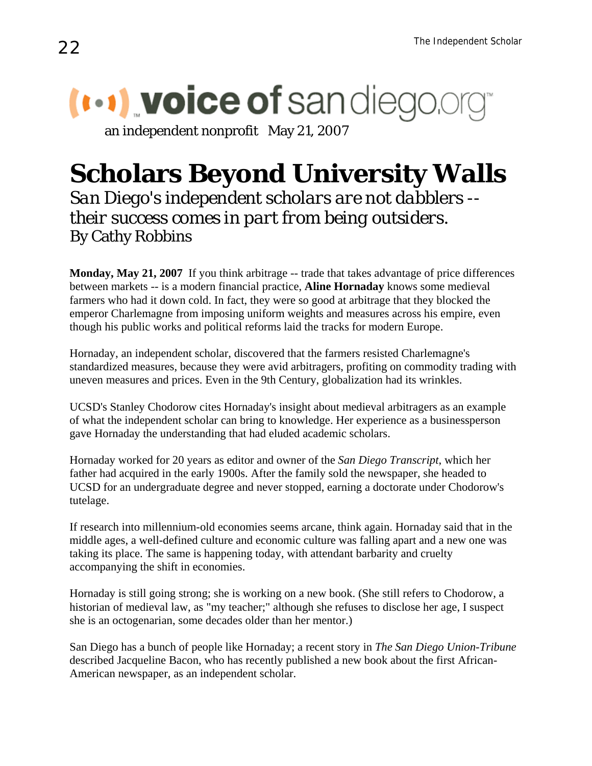## $(\cdots)$  voice of sandiego.

an independent nonprofit May 21, 2007

## **Scholars Beyond University Walls**

*San Diego's independent scholars are not dabblers - their success comes in part from being outsiders.* By Cathy Robbins

**Monday, May 21, 2007** If you think arbitrage -- trade that takes advantage of price differences between markets -- is a modern financial practice, **Aline Hornaday** knows some medieval farmers who had it down cold. In fact, they were so good at arbitrage that they blocked the emperor Charlemagne from imposing uniform weights and measures across his empire, even though his public works and political reforms laid the tracks for modern Europe.

Hornaday, an independent scholar, discovered that the farmers resisted Charlemagne's standardized measures, because they were avid arbitragers, profiting on commodity trading with uneven measures and prices. Even in the 9th Century, globalization had its wrinkles.

UCSD's Stanley Chodorow cites Hornaday's insight about medieval arbitragers as an example of what the independent scholar can bring to knowledge. Her experience as a businessperson gave Hornaday the understanding that had eluded academic scholars.

Hornaday worked for 20 years as editor and owner of the *San Diego Transcript*, which her father had acquired in the early 1900s. After the family sold the newspaper, she headed to UCSD for an undergraduate degree and never stopped, earning a doctorate under Chodorow's tutelage.

If research into millennium-old economies seems arcane, think again. Hornaday said that in the middle ages, a well-defined culture and economic culture was falling apart and a new one was taking its place. The same is happening today, with attendant barbarity and cruelty accompanying the shift in economies.

Hornaday is still going strong; she is working on a new book. (She still refers to Chodorow, a historian of medieval law, as "my teacher;" although she refuses to disclose her age, I suspect she is an octogenarian, some decades older than her mentor.)

San Diego has a bunch of people like Hornaday; a recent story in *The San Diego Union-Tribune* described Jacqueline Bacon, who has recently published a new book about the first African-American newspaper, as an independent scholar.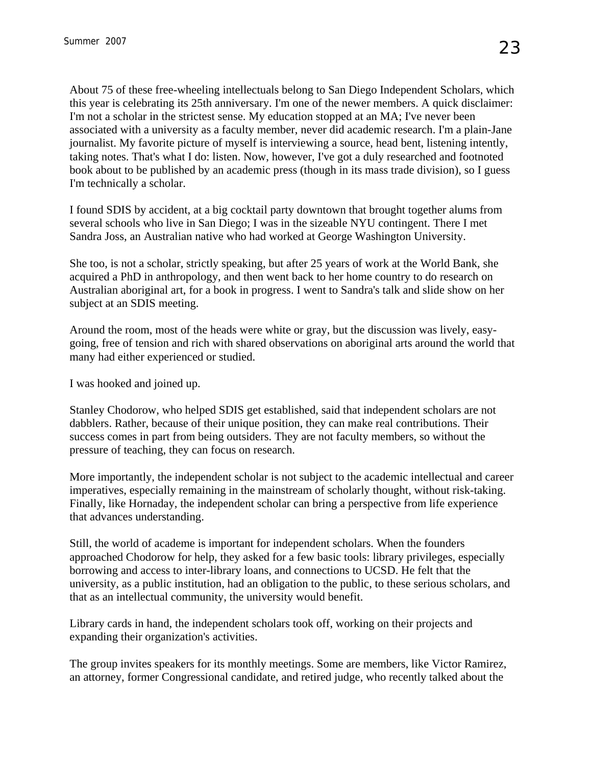About 75 of these free-wheeling intellectuals belong to San Diego Independent Scholars, which this year is celebrating its 25th anniversary. I'm one of the newer members. A quick disclaimer: I'm not a scholar in the strictest sense. My education stopped at an MA; I've never been associated with a university as a faculty member, never did academic research. I'm a plain-Jane journalist. My favorite picture of myself is interviewing a source, head bent, listening intently, taking notes. That's what I do: listen. Now, however, I've got a duly researched and footnoted book about to be published by an academic press (though in its mass trade division), so I guess I'm technically a scholar.

I found SDIS by accident, at a big cocktail party downtown that brought together alums from several schools who live in San Diego; I was in the sizeable NYU contingent. There I met Sandra Joss, an Australian native who had worked at George Washington University.

She too, is not a scholar, strictly speaking, but after 25 years of work at the World Bank, she acquired a PhD in anthropology, and then went back to her home country to do research on Australian aboriginal art, for a book in progress. I went to Sandra's talk and slide show on her subject at an SDIS meeting.

Around the room, most of the heads were white or gray, but the discussion was lively, easygoing, free of tension and rich with shared observations on aboriginal arts around the world that many had either experienced or studied.

I was hooked and joined up.

Stanley Chodorow, who helped SDIS get established, said that independent scholars are not dabblers. Rather, because of their unique position, they can make real contributions. Their success comes in part from being outsiders. They are not faculty members, so without the pressure of teaching, they can focus on research.

More importantly, the independent scholar is not subject to the academic intellectual and career imperatives, especially remaining in the mainstream of scholarly thought, without risk-taking. Finally, like Hornaday, the independent scholar can bring a perspective from life experience that advances understanding.

Still, the world of academe is important for independent scholars. When the founders approached Chodorow for help, they asked for a few basic tools: library privileges, especially borrowing and access to inter-library loans, and connections to UCSD. He felt that the university, as a public institution, had an obligation to the public, to these serious scholars, and that as an intellectual community, the university would benefit.

Library cards in hand, the independent scholars took off, working on their projects and expanding their organization's activities.

The group invites speakers for its monthly meetings. Some are members, like Victor Ramirez, an attorney, former Congressional candidate, and retired judge, who recently talked about the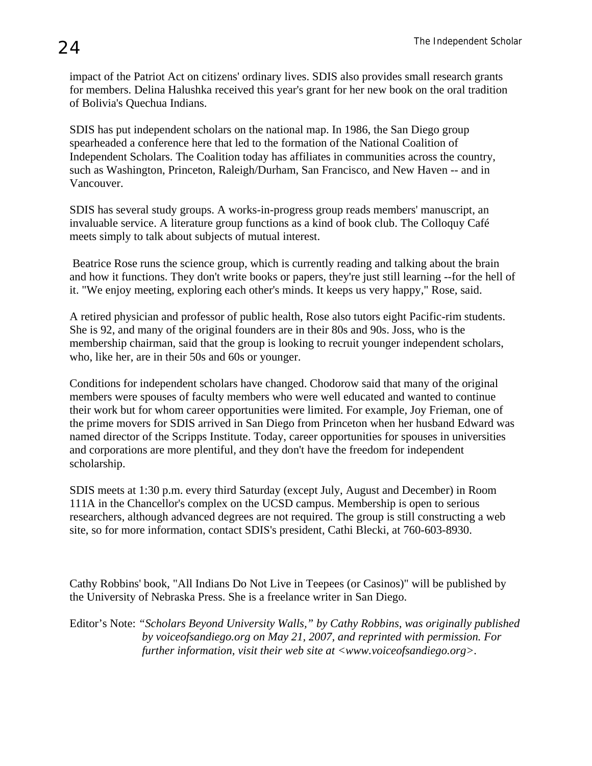SDIS has put independent scholars on the national map. In 1986, the San Diego group spearheaded a conference here that led to the formation of the National Coalition of Independent Scholars. The Coalition today has affiliates in communities across the country, such as Washington, Princeton, Raleigh/Durham, San Francisco, and New Haven -- and in Vancouver.

SDIS has several study groups. A works-in-progress group reads members' manuscript, an invaluable service. A literature group functions as a kind of book club. The Colloquy Café meets simply to talk about subjects of mutual interest.

 Beatrice Rose runs the science group, which is currently reading and talking about the brain and how it functions. They don't write books or papers, they're just still learning --for the hell of it. "We enjoy meeting, exploring each other's minds. It keeps us very happy," Rose, said.

A retired physician and professor of public health, Rose also tutors eight Pacific-rim students. She is 92, and many of the original founders are in their 80s and 90s. Joss, who is the membership chairman, said that the group is looking to recruit younger independent scholars, who, like her, are in their 50s and 60s or younger.

Conditions for independent scholars have changed. Chodorow said that many of the original members were spouses of faculty members who were well educated and wanted to continue their work but for whom career opportunities were limited. For example, Joy Frieman, one of the prime movers for SDIS arrived in San Diego from Princeton when her husband Edward was named director of the Scripps Institute. Today, career opportunities for spouses in universities and corporations are more plentiful, and they don't have the freedom for independent scholarship.

SDIS meets at 1:30 p.m. every third Saturday (except July, August and December) in Room 111A in the Chancellor's complex on the UCSD campus. Membership is open to serious researchers, although advanced degrees are not required. The group is still constructing a web site, so for more information, contact SDIS's president, Cathi Blecki, at 760-603-8930.

Cathy Robbins' book, "All Indians Do Not Live in Teepees (or Casinos)" will be published by the University of Nebraska Press. She is a freelance writer in San Diego.

Editor's Note: *"Scholars Beyond University Walls," by Cathy Robbins, was originally published by voiceofsandiego.org on May 21, 2007, and reprinted with permission. For further information, visit their web site at <[www.voiceofsandiego.org](http://www.voiceofsandiego.org/)>.*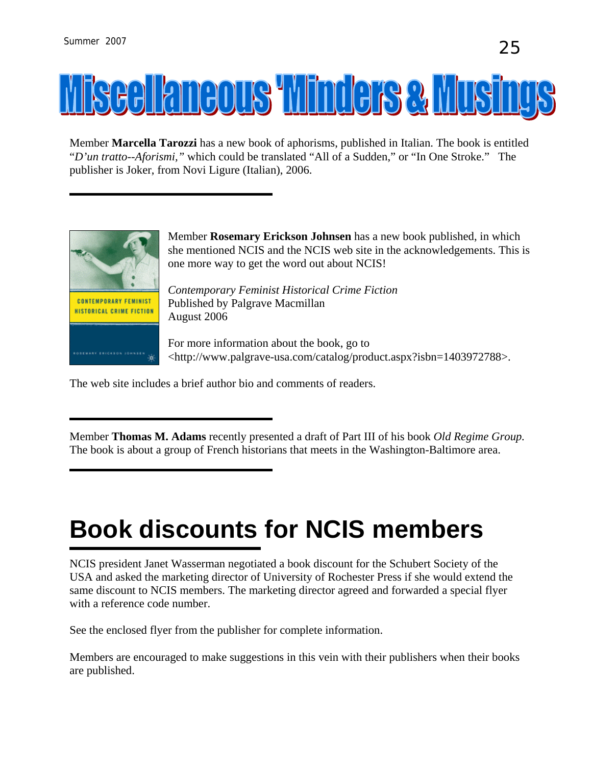## **Iscellaneous Winders & Musi**

Member **Marcella Tarozzi** has a new book of aphorisms, published in Italian. The book is entitled "*D'un tratto--Aforismi,"* which could be translated "All of a Sudden," or "In One Stroke." The publisher is Joker, from Novi Ligure (Italian), 2006.



Member **Rosemary Erickson Johnsen** has a new book published, in which she mentioned NCIS and the NCIS web site in the acknowledgements. This is one more way to get the word out about NCIS!

*Contemporary Feminist Historical Crime Fiction*  Published by Palgrave Macmillan August 2006

For more information about the book, go to <[http://www.palgrave-usa.com/catalog/product.aspx?isbn=1403972788>](http://www.palgrave-usa.com/catalog/product.aspx?isbn=1403972788).

The web site includes a brief author bio and comments of readers.

Member **Thomas M. Adams** recently presented a draft of Part III of his book *Old Regime Group.*  The book is about a group of French historians that meets in the Washington-Baltimore area.

## **Book discounts for NCIS members**

NCIS president Janet Wasserman negotiated a book discount for the Schubert Society of the USA and asked the marketing director of University of Rochester Press if she would extend the same discount to NCIS members. The marketing director agreed and forwarded a special flyer with a reference code number.

See the enclosed flyer from the publisher for complete information.

Members are encouraged to make suggestions in this vein with their publishers when their books are published.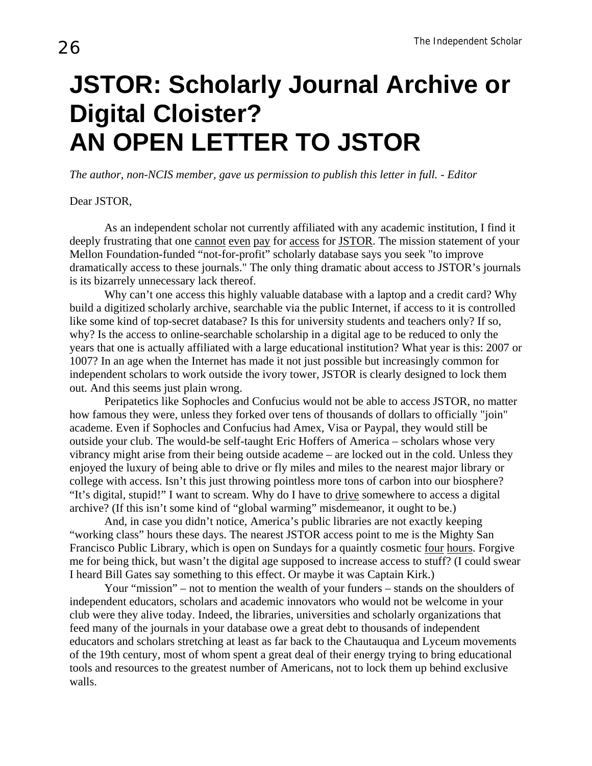## **JSTOR: Scholarly Journal Archive or Digital Cloister? AN OPEN LETTER TO JSTOR**

*The author, non-NCIS member, gave us permission to publish this letter in full. - Editor* 

#### Dear JSTOR,

As an independent scholar not currently affiliated with any academic institution, I find it deeply frustrating that one cannot even pay for access for JSTOR. The mission statement of your Mellon Foundation-funded "not-for-profit" scholarly database says you seek "to improve dramatically access to these journals." The only thing dramatic about access to JSTOR's journals is its bizarrely unnecessary lack thereof.

Why can't one access this highly valuable database with a laptop and a credit card? Why build a digitized scholarly archive, searchable via the public Internet, if access to it is controlled like some kind of top-secret database? Is this for university students and teachers only? If so, why? Is the access to online-searchable scholarship in a digital age to be reduced to only the years that one is actually affiliated with a large educational institution? What year is this: 2007 or 1007? In an age when the Internet has made it not just possible but increasingly common for independent scholars to work outside the ivory tower, JSTOR is clearly designed to lock them out. And this seems just plain wrong.

Peripatetics like Sophocles and Confucius would not be able to access JSTOR, no matter how famous they were, unless they forked over tens of thousands of dollars to officially "join" academe. Even if Sophocles and Confucius had Amex, Visa or Paypal, they would still be outside your club. The would-be self-taught Eric Hoffers of America – scholars whose very vibrancy might arise from their being outside academe – are locked out in the cold. Unless they enjoyed the luxury of being able to drive or fly miles and miles to the nearest major library or college with access. Isn't this just throwing pointless more tons of carbon into our biosphere? "It's digital, stupid!" I want to scream. Why do I have to drive somewhere to access a digital archive? (If this isn't some kind of "global warming" misdemeanor, it ought to be.)

And, in case you didn't notice, America's public libraries are not exactly keeping "working class" hours these days. The nearest JSTOR access point to me is the Mighty San Francisco Public Library, which is open on Sundays for a quaintly cosmetic four hours. Forgive me for being thick, but wasn't the digital age supposed to increase access to stuff? (I could swear I heard Bill Gates say something to this effect. Or maybe it was Captain Kirk.)

Your "mission" – not to mention the wealth of your funders – stands on the shoulders of independent educators, scholars and academic innovators who would not be welcome in your club were they alive today. Indeed, the libraries, universities and scholarly organizations that feed many of the journals in your database owe a great debt to thousands of independent educators and scholars stretching at least as far back to the Chautauqua and Lyceum movements of the 19th century, most of whom spent a great deal of their energy trying to bring educational tools and resources to the greatest number of Americans, not to lock them up behind exclusive walls.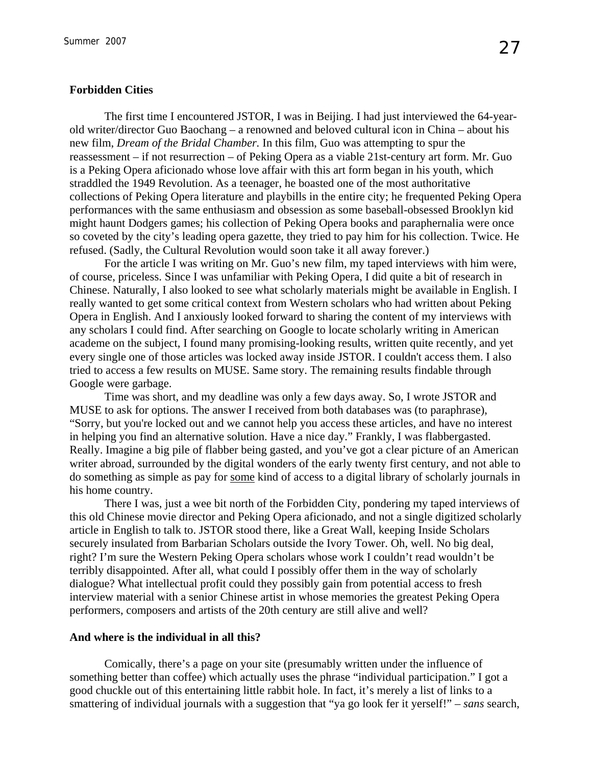#### **Forbidden Cities**

The first time I encountered JSTOR, I was in Beijing. I had just interviewed the 64-yearold writer/director Guo Baochang – a renowned and beloved cultural icon in China – about his new film, *Dream of the Bridal Chamber.* In this film, Guo was attempting to spur the reassessment – if not resurrection – of Peking Opera as a viable 21st-century art form. Mr. Guo is a Peking Opera aficionado whose love affair with this art form began in his youth, which straddled the 1949 Revolution. As a teenager, he boasted one of the most authoritative collections of Peking Opera literature and playbills in the entire city; he frequented Peking Opera performances with the same enthusiasm and obsession as some baseball-obsessed Brooklyn kid might haunt Dodgers games; his collection of Peking Opera books and paraphernalia were once so coveted by the city's leading opera gazette, they tried to pay him for his collection. Twice. He refused. (Sadly, the Cultural Revolution would soon take it all away forever.)

For the article I was writing on Mr. Guo's new film, my taped interviews with him were, of course, priceless. Since I was unfamiliar with Peking Opera, I did quite a bit of research in Chinese. Naturally, I also looked to see what scholarly materials might be available in English. I really wanted to get some critical context from Western scholars who had written about Peking Opera in English. And I anxiously looked forward to sharing the content of my interviews with any scholars I could find. After searching on Google to locate scholarly writing in American academe on the subject, I found many promising-looking results, written quite recently, and yet every single one of those articles was locked away inside JSTOR. I couldn't access them. I also tried to access a few results on MUSE. Same story. The remaining results findable through Google were garbage.

Time was short, and my deadline was only a few days away. So, I wrote JSTOR and MUSE to ask for options. The answer I received from both databases was (to paraphrase), "Sorry, but you're locked out and we cannot help you access these articles, and have no interest in helping you find an alternative solution. Have a nice day." Frankly, I was flabbergasted. Really. Imagine a big pile of flabber being gasted, and you've got a clear picture of an American writer abroad, surrounded by the digital wonders of the early twenty first century, and not able to do something as simple as pay for some kind of access to a digital library of scholarly journals in his home country.

There I was, just a wee bit north of the Forbidden City, pondering my taped interviews of this old Chinese movie director and Peking Opera aficionado, and not a single digitized scholarly article in English to talk to. JSTOR stood there, like a Great Wall, keeping Inside Scholars securely insulated from Barbarian Scholars outside the Ivory Tower. Oh, well. No big deal, right? I'm sure the Western Peking Opera scholars whose work I couldn't read wouldn't be terribly disappointed. After all, what could I possibly offer them in the way of scholarly dialogue? What intellectual profit could they possibly gain from potential access to fresh interview material with a senior Chinese artist in whose memories the greatest Peking Opera performers, composers and artists of the 20th century are still alive and well?

#### **And where is the individual in all this?**

Comically, there's a page on your site (presumably written under the influence of something better than coffee) which actually uses the phrase "individual participation." I got a good chuckle out of this entertaining little rabbit hole. In fact, it's merely a list of links to a smattering of individual journals with a suggestion that "ya go look fer it yerself!" – *sans* search,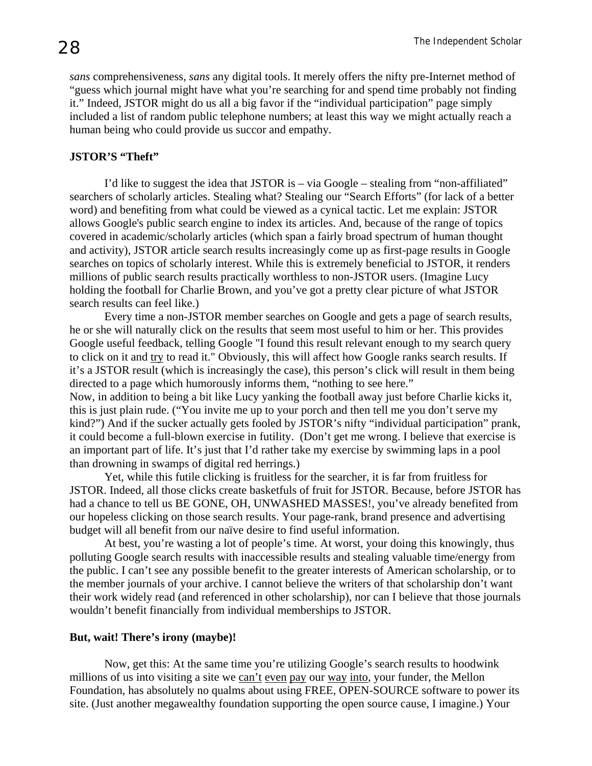*sans* comprehensiveness, *sans* any digital tools. It merely offers the nifty pre-Internet method of "guess which journal might have what you're searching for and spend time probably not finding it." Indeed, JSTOR might do us all a big favor if the "individual participation" page simply included a list of random public telephone numbers; at least this way we might actually reach a human being who could provide us succor and empathy.

#### **JSTOR'S "Theft"**

I'd like to suggest the idea that JSTOR is – via Google – stealing from "non-affiliated" searchers of scholarly articles. Stealing what? Stealing our "Search Efforts" (for lack of a better word) and benefiting from what could be viewed as a cynical tactic. Let me explain: JSTOR allows Google's public search engine to index its articles. And, because of the range of topics covered in academic/scholarly articles (which span a fairly broad spectrum of human thought and activity), JSTOR article search results increasingly come up as first-page results in Google searches on topics of scholarly interest. While this is extremely beneficial to JSTOR, it renders millions of public search results practically worthless to non-JSTOR users. (Imagine Lucy holding the football for Charlie Brown, and you've got a pretty clear picture of what JSTOR search results can feel like.)

Every time a non-JSTOR member searches on Google and gets a page of search results, he or she will naturally click on the results that seem most useful to him or her. This provides Google useful feedback, telling Google "I found this result relevant enough to my search query to click on it and try to read it." Obviously, this will affect how Google ranks search results. If it's a JSTOR result (which is increasingly the case), this person's click will result in them being directed to a page which humorously informs them, "nothing to see here." Now, in addition to being a bit like Lucy yanking the football away just before Charlie kicks it, this is just plain rude. ("You invite me up to your porch and then tell me you don't serve my kind?") And if the sucker actually gets fooled by JSTOR's nifty "individual participation" prank, it could become a full-blown exercise in futility. (Don't get me wrong. I believe that exercise is an important part of life. It's just that I'd rather take my exercise by swimming laps in a pool than drowning in swamps of digital red herrings.)

Yet, while this futile clicking is fruitless for the searcher, it is far from fruitless for JSTOR. Indeed, all those clicks create basketfuls of fruit for JSTOR. Because, before JSTOR has had a chance to tell us BE GONE, OH, UNWASHED MASSES!, you've already benefited from our hopeless clicking on those search results. Your page-rank, brand presence and advertising budget will all benefit from our naïve desire to find useful information.

At best, you're wasting a lot of people's time. At worst, your doing this knowingly, thus polluting Google search results with inaccessible results and stealing valuable time/energy from the public. I can't see any possible benefit to the greater interests of American scholarship, or to the member journals of your archive. I cannot believe the writers of that scholarship don't want their work widely read (and referenced in other scholarship), nor can I believe that those journals wouldn't benefit financially from individual memberships to JSTOR.

#### **But, wait! There's irony (maybe)!**

Now, get this: At the same time you're utilizing Google's search results to hoodwink millions of us into visiting a site we can't even pay our way into, your funder, the Mellon Foundation, has absolutely no qualms about using FREE, OPEN-SOURCE software to power its site. (Just another megawealthy foundation supporting the open source cause, I imagine.) Your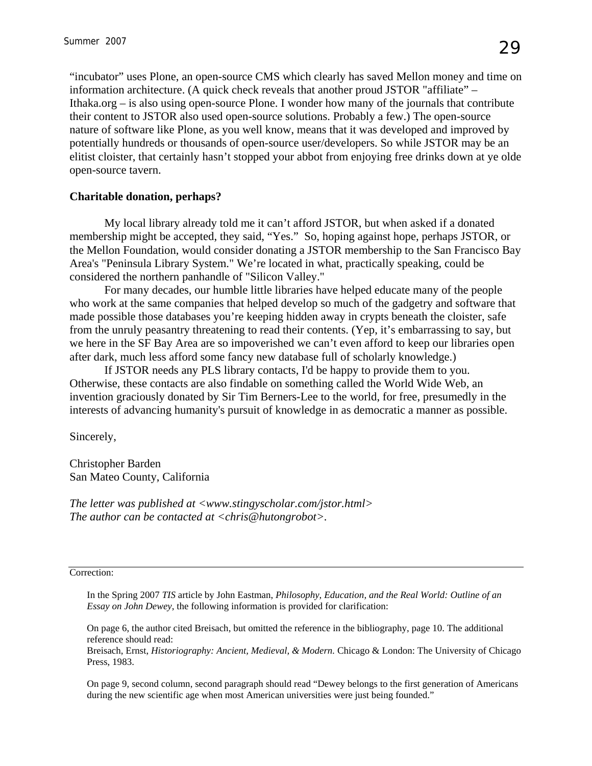"incubator" uses Plone, an open-source CMS which clearly has saved Mellon money and time on information architecture. (A quick check reveals that another proud JSTOR "affiliate" – Ithaka.org – is also using open-source Plone. I wonder how many of the journals that contribute their content to JSTOR also used open-source solutions. Probably a few.) The open-source nature of software like Plone, as you well know, means that it was developed and improved by potentially hundreds or thousands of open-source user/developers. So while JSTOR may be an elitist cloister, that certainly hasn't stopped your abbot from enjoying free drinks down at ye olde open-source tavern.

#### **Charitable donation, perhaps?**

My local library already told me it can't afford JSTOR, but when asked if a donated membership might be accepted, they said, "Yes." So, hoping against hope, perhaps JSTOR, or the Mellon Foundation, would consider donating a JSTOR membership to the San Francisco Bay Area's "Peninsula Library System." We're located in what, practically speaking, could be considered the northern panhandle of "Silicon Valley."

For many decades, our humble little libraries have helped educate many of the people who work at the same companies that helped develop so much of the gadgetry and software that made possible those databases you're keeping hidden away in crypts beneath the cloister, safe from the unruly peasantry threatening to read their contents. (Yep, it's embarrassing to say, but we here in the SF Bay Area are so impoverished we can't even afford to keep our libraries open after dark, much less afford some fancy new database full of scholarly knowledge.)

If JSTOR needs any PLS library contacts, I'd be happy to provide them to you. Otherwise, these contacts are also findable on something called the World Wide Web, an invention graciously donated by Sir Tim Berners-Lee to the world, for free, presumedly in the interests of advancing humanity's pursuit of knowledge in as democratic a manner as possible.

Sincerely,

Christopher Barden San Mateo County, California

*The letter was published at <www.stingyscholar.com/jstor.html> The author can be contacted at <chris@hutongrobot>.* 

Correction:

In the Spring 2007 *TIS* article by John Eastman, *Philosophy, Education, and the Real World: Outline of an Essay on John Dewey*, the following information is provided for clarification:

On page 6, the author cited Breisach, but omitted the reference in the bibliography, page 10. The additional reference should read:

Breisach, Ernst, *Historiography: Ancient, Medieval, & Modern.* Chicago & London: The University of Chicago Press, 1983.

On page 9, second column, second paragraph should read "Dewey belongs to the first generation of Americans during the new scientific age when most American universities were just being founded."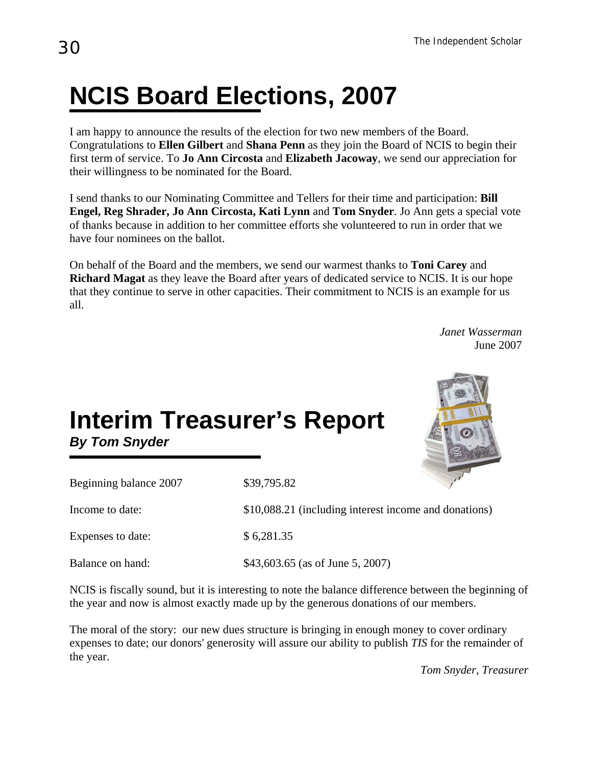## **NCIS Board Elections, 2007**

I am happy to announce the results of the election for two new members of the Board. Congratulations to **Ellen Gilbert** and **Shana Penn** as they join the Board of NCIS to begin their first term of service. To **Jo Ann Circosta** and **Elizabeth Jacoway**, we send our appreciation for their willingness to be nominated for the Board.

I send thanks to our Nominating Committee and Tellers for their time and participation: **Bill Engel, Reg Shrader, Jo Ann Circosta, Kati Lynn** and **Tom Snyder**. Jo Ann gets a special vote of thanks because in addition to her committee efforts she volunteered to run in order that we have four nominees on the ballot.

On behalf of the Board and the members, we send our warmest thanks to **Toni Carey** and **Richard Magat** as they leave the Board after years of dedicated service to NCIS. It is our hope that they continue to serve in other capacities. Their commitment to NCIS is an example for us all.

> *Janet Wasserman* June 2007

## **Interim Treasurer's Report**  *By Tom Snyder*



| Beginning balance 2007 | \$39,795.82                                           |
|------------------------|-------------------------------------------------------|
| Income to date:        | \$10,088.21 (including interest income and donations) |
| Expenses to date:      | \$6,281.35                                            |
| Balance on hand:       | \$43,603.65 (as of June 5, 2007)                      |

NCIS is fiscally sound, but it is interesting to note the balance difference between the beginning of the year and now is almost exactly made up by the generous donations of our members.

The moral of the story: our new dues structure is bringing in enough money to cover ordinary expenses to date; our donors' generosity will assure our ability to publish *TIS* for the remainder of the year.

*Tom Snyder, Treasurer*

Ι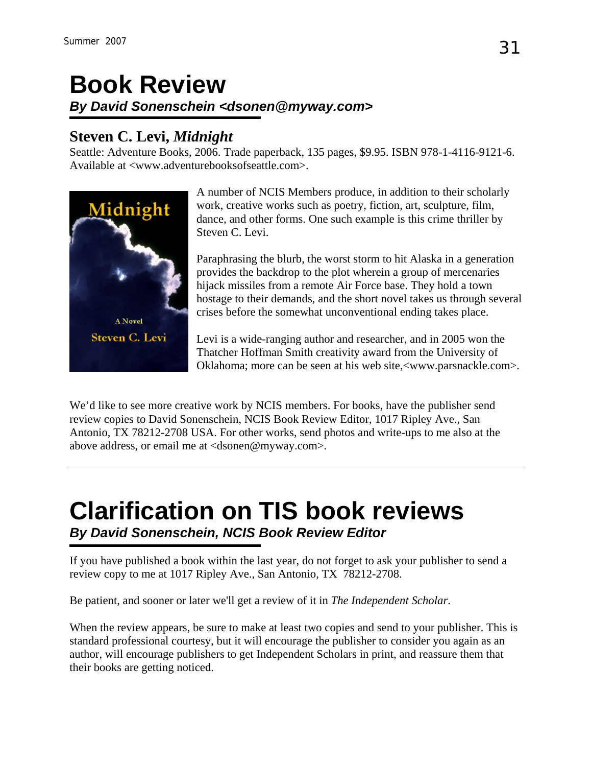## **Book Review**  *By David Sonenschein <dsonen@myway.com>*

## **Steven C. Levi,** *Midnight*

Seattle: Adventure Books, 2006. Trade paperback, 135 pages, \$9.95. ISBN 978-1-4116-9121-6. Available at [<www.adventurebooksofseattle.com>](http://www.adventurebooksofseattle.com/).



A number of NCIS Members produce, in addition to their scholarly work, creative works such as poetry, fiction, art, sculpture, film, dance, and other forms. One such example is this crime thriller by Steven C. Levi.

Paraphrasing the blurb, the worst storm to hit Alaska in a generation provides the backdrop to the plot wherein a group of mercenaries hijack missiles from a remote Air Force base. They hold a town hostage to their demands, and the short novel takes us through several crises before the somewhat unconventional ending takes place.

Levi is a wide-ranging author and researcher, and in 2005 won the Thatcher Hoffman Smith creativity award from the University of Oklahoma; more can be seen at his web site,<[www.parsnackle.com>](http://www.parsnackle.com/).

We'd like to see more creative work by NCIS members. For books, have the publisher send review copies to David Sonenschein, NCIS Book Review Editor, 1017 Ripley Ave., San Antonio, TX 78212-2708 USA. For other works, send photos and write-ups to me also at the above address, or email me at <dsonen@myway.com>.

## **Clarification on TIS book reviews**  *By David Sonenschein, NCIS Book Review Editor*

If you have published a book within the last year, do not forget to ask your publisher to send a review copy to me at 1017 Ripley Ave., San Antonio, TX 78212-2708.

Be patient, and sooner or later we'll get a review of it in *The Independent Scholar*.

When the review appears, be sure to make at least two copies and send to your publisher. This is standard professional courtesy, but it will encourage the publisher to consider you again as an author, will encourage publishers to get Independent Scholars in print, and reassure them that their books are getting noticed.